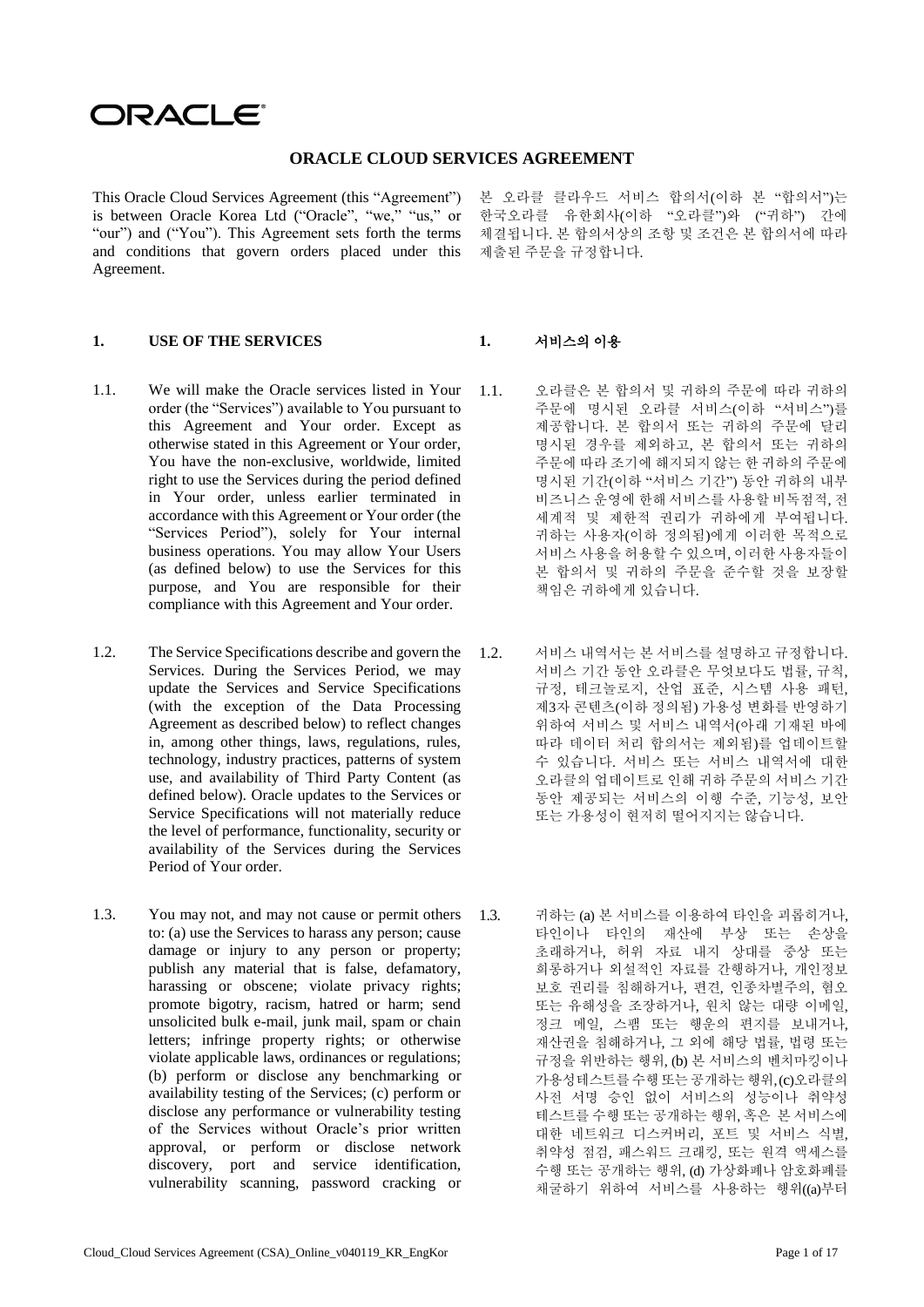# ORACLE®

### **ORACLE CLOUD SERVICES AGREEMENT**

This Oracle Cloud Services Agreement (this "Agreement") is between Oracle Korea Ltd ("Oracle", "we," "us," or "our") and ("You"). This Agreement sets forth the terms and conditions that govern orders placed under this Agreement.

### **1. USE OF THE SERVICES 1.** 서비스의 이용

- 1.1. We will make the Oracle services listed in Your order (the "Services") available to You pursuant to this Agreement and Your order. Except as otherwise stated in this Agreement or Your order, You have the non-exclusive, worldwide, limited right to use the Services during the period defined in Your order, unless earlier terminated in accordance with this Agreement or Your order (the "Services Period"), solely for Your internal business operations. You may allow Your Users (as defined below) to use the Services for this purpose, and You are responsible for their compliance with this Agreement and Your order.
- 1.2. The Service Specifications describe and govern the 1.2. Services. During the Services Period, we may update the Services and Service Specifications (with the exception of the Data Processing Agreement as described below) to reflect changes in, among other things, laws, regulations, rules, technology, industry practices, patterns of system use, and availability of Third Party Content (as defined below). Oracle updates to the Services or Service Specifications will not materially reduce the level of performance, functionality, security or availability of the Services during the Services Period of Your order.
- 1.3. You may not, and may not cause or permit others to: (a) use the Services to harass any person; cause damage or injury to any person or property; publish any material that is false, defamatory, harassing or obscene; violate privacy rights; promote bigotry, racism, hatred or harm; send unsolicited bulk e-mail, junk mail, spam or chain letters; infringe property rights; or otherwise violate applicable laws, ordinances or regulations; (b) perform or disclose any benchmarking or availability testing of the Services; (c) perform or disclose any performance or vulnerability testing of the Services without Oracle's prior written approval, or perform or disclose network discovery, port and service identification, vulnerability scanning, password cracking or

본 오라클 클라우드 서비스 합의서(이하 본 "합의서")는 한국오라클 유한회사(이하 "오라클")와 ("귀하") 간에 체결됩니다. 본 합의서상의 조항 및 조건은 본 합의서에 따라 제출된 주문을 규정합니다.

- 1.1. 오라클은 본 합의서 및 귀하의 주문에 따라 귀하의 주문에 명시된 오라클 서비스(이하 "서비스")를 제공합니다. 본 합의서 또는 귀하의 주문에 달리 명시된 경우를 제외하고, 본 합의서 또는 귀하의 주문에 따라 조기에 해지되지 않는 한 귀하의 주문에 명시된 기간(이하 "서비스 기간") 동안 귀하의 내부 비즈니스 운영에 한해 서비스를 사용할 비독점적, 전 세계적 및 제한적 권리가 귀하에게 부여됩니다. 귀하는 사용자(이하 정의됨)에게 이러한 목적으로 서비스 사용을 허용할 수 있으며, 이러한 사용자들이 본 합의서 및 귀하의 주문을 준수할 것을 보장할 책임은 귀하에게 있습니다.
- 서비스 내역서는 본 서비스를 설명하고 규정합니다. 서비스 기간 동안 오라클은 무엇보다도 법률, 규칙, 규정, 테크놀로지, 산업 표준, 시스템 사용 패턴, 제3자 콘텐츠(이하 정의됨) 가용성 변화를 반영하기 위하여 서비스 및 서비스 내역서(아래 기재된 바에 따라 데이터 처리 합의서는 제외됨)를 업데이트할 수 있습니다. 서비스 또는 서비스 내역서에 대한 오라클의 업데이트로 인해 귀하 주문의 서비스 기간 동안 제공되는 서비스의 이행 수준, 기능성, 보안 또는 가용성이 현저히 떨어지지는 않습니다.
- 1.3. 귀하는 (a) 본 서비스를 이용하여 타인을 괴롭히거나, 타인이나 타인의 재산에 부상 또는 손상을 초래하거나, 허위 자료 내지 상대를 중상 또는 희롱하거나 외설적인 자료를 간행하거나, 개인정보 보호 권리를 침해하거나, 편견, 인종차별주의, 혐오 또는 유해성을 조장하거나, 원치 않는 대량 이메일, 정크 메일, 스팸 또는 행운의 편지를 보내거나, 재산권을 침해하거나, 그 외에 해당 법률, 법령 또는 규정을 위반하는 행위, (b) 본 서비스의 벤치마킹이나 가용성테스트를수행또는공개하는행위,(c)오라클의 사전 서명 승인 없이 서비스의 성능이나 취약성 테스트를 수행 또는 공개하는 행위, 혹은 본 서비스에 대한 네트워크 디스커버리, 포트 및 서비스 식별, 취약성 점검, 패스워드 크래킹, 또는 원격 액세스를 수행 또는 공개하는 행위, (d) 가상화폐나 암호화폐를 채굴하기 위하여 서비스를 사용하는 행위((a)부터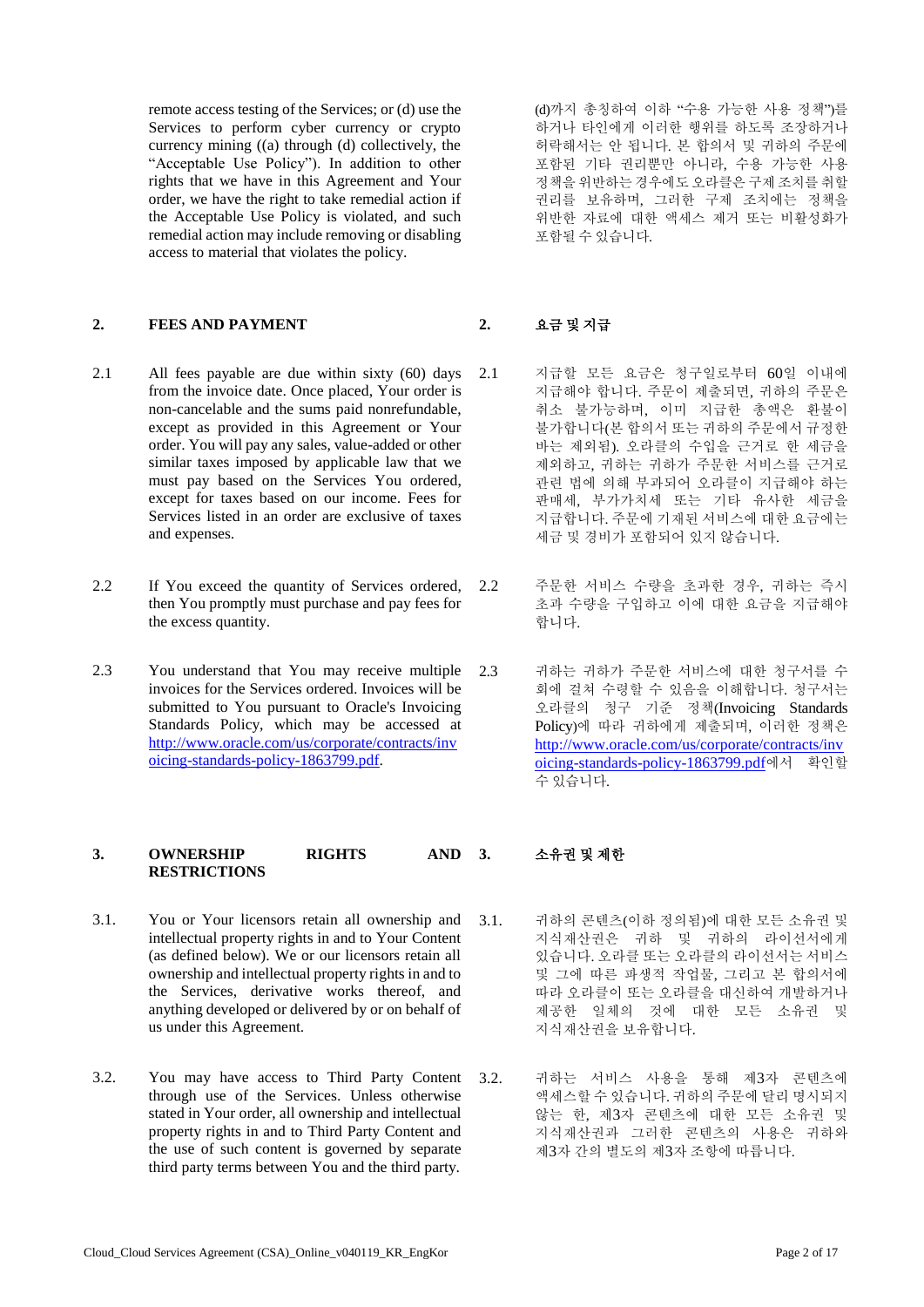remote access testing of the Services; or (d) use the Services to perform cyber currency or crypto currency mining ((a) through (d) collectively, the "Acceptable Use Policy"). In addition to other rights that we have in this Agreement and Your order, we have the right to take remedial action if the Acceptable Use Policy is violated, and such remedial action may include removing or disabling access to material that violates the policy.

### **2. FEES AND PAYMENT 2.** 요금 및 지급

- 2.1 All fees payable are due within sixty (60) days from the invoice date. Once placed, Your order is non-cancelable and the sums paid nonrefundable, except as provided in this Agreement or Your order. You will pay any sales, value-added or other similar taxes imposed by applicable law that we must pay based on the Services You ordered, except for taxes based on our income. Fees for Services listed in an order are exclusive of taxes and expenses.
- 2.2 If You exceed the quantity of Services ordered, then You promptly must purchase and pay fees for the excess quantity.
- 2.3 You understand that You may receive multiple invoices for the Services ordered. Invoices will be submitted to You pursuant to Oracle's Invoicing Standards Policy, which may be accessed at [http://www.oracle.com/us/corporate/contracts/inv](http://www.oracle.com/us/corporate/contracts/invoicing-standards-policy-1863799.pdf) [oicing-standards-policy-1863799.pdf.](http://www.oracle.com/us/corporate/contracts/invoicing-standards-policy-1863799.pdf)

# **3. OWNERSHIP RIGHTS AND RESTRICTIONS**

- 3.1. You or Your licensors retain all ownership and intellectual property rights in and to Your Content (as defined below). We or our licensors retain all ownership and intellectual property rights in and to the Services, derivative works thereof, and anything developed or delivered by or on behalf of us under this Agreement.
- 3.2. You may have access to Third Party Content through use of the Services. Unless otherwise stated in Your order, all ownership and intellectual property rights in and to Third Party Content and the use of such content is governed by separate third party terms between You and the third party.

(d)까지 총칭하여 이하 "수용 가능한 사용 정책")를 하거나 타인에게 이러한 행위를 하도록 조장하거나 허락해서는 안 됩니다. 본 합의서 및 귀하의 주문에 포함된 기타 권리뿐만 아니라, 수용 가능한 사용 정책을위반하는경우에도오라클은구제조치를취할 권리를 보유하며, 그러한 구제 조치에는 정책을 위반한 자료에 대한 액세스 제거 또는 비활성화가 포함될 수 있습니다.

- 2.1 지급할 모든 요금은 청구일로부터 60일 이내에 지급해야 합니다. 주문이 제출되면, 귀하의 주문은 취소 불가능하며, 이미 지급한 총액은 환불이 불가합니다(본 합의서 또는 귀하의 주문에서 규정한 바는 제외됨). 오라클의 수입을 근거로 한 세금을 제외하고, 귀하는 귀하가 주문한 서비스를 근거로 관련 법에 의해 부과되어 오라클이 지급해야 하는 판매세, 부가가치세 또는 기타 유사한 세금을 지급합니다. 주문에 기재된 서비스에 대한 요금에는 세금 및 경비가 포함되어 있지 않습니다.
- 2.2 주문한 서비스 수량을 초과한 경우, 귀하는 즉시 초과 수량을 구입하고 이에 대한 요금을 지급해야 합니다.
- 2.3 귀하는 귀하가 주문한 서비스에 대한 청구서를 수 회에 걸쳐 수령할 수 있음을 이해합니다. 청구서는 오라클의 청구 기준 정책(Invoicing Standards Policy)에 따라 귀하에게 제출되며, 이러한 정책은 [http://www.oracle.com/us/corporate/contracts/inv](http://www.oracle.com/us/corporate/contracts/invoicing-standards-policy-1863799.pdf) [oicing-standards-policy-1863799.pdf](http://www.oracle.com/us/corporate/contracts/invoicing-standards-policy-1863799.pdf)에서 확인할 수 있습니다.

# **3.** 소유권 및 제한

- 3.1. 귀하의 콘텐츠(이하 정의됨)에 대한 모든 소유권 및 지식재산권은 귀하 및 귀하의 라이선서에게 있습니다. 오라클 또는 오라클의 라이선서는 서비스 및 그에 따른 파생적 작업물, 그리고 본 합의서에 따라 오라클이 또는 오라클을 대신하여 개발하거나 제공한 일체의 것에 대한 모든 소유권 및 지식재산권을 보유합니다.
- 3.2. 귀하는 서비스 사용을 통해 제3자 콘텐츠에 액세스할 수 있습니다. 귀하의 주문에 달리 명시되지 않는 한, 제3자 콘텐츠에 대한 모든 소유권 및 지식재산권과 그러한 콘텐츠의 사용은 귀하와 제3자 간의 별도의 제3자 조항에 따릅니다.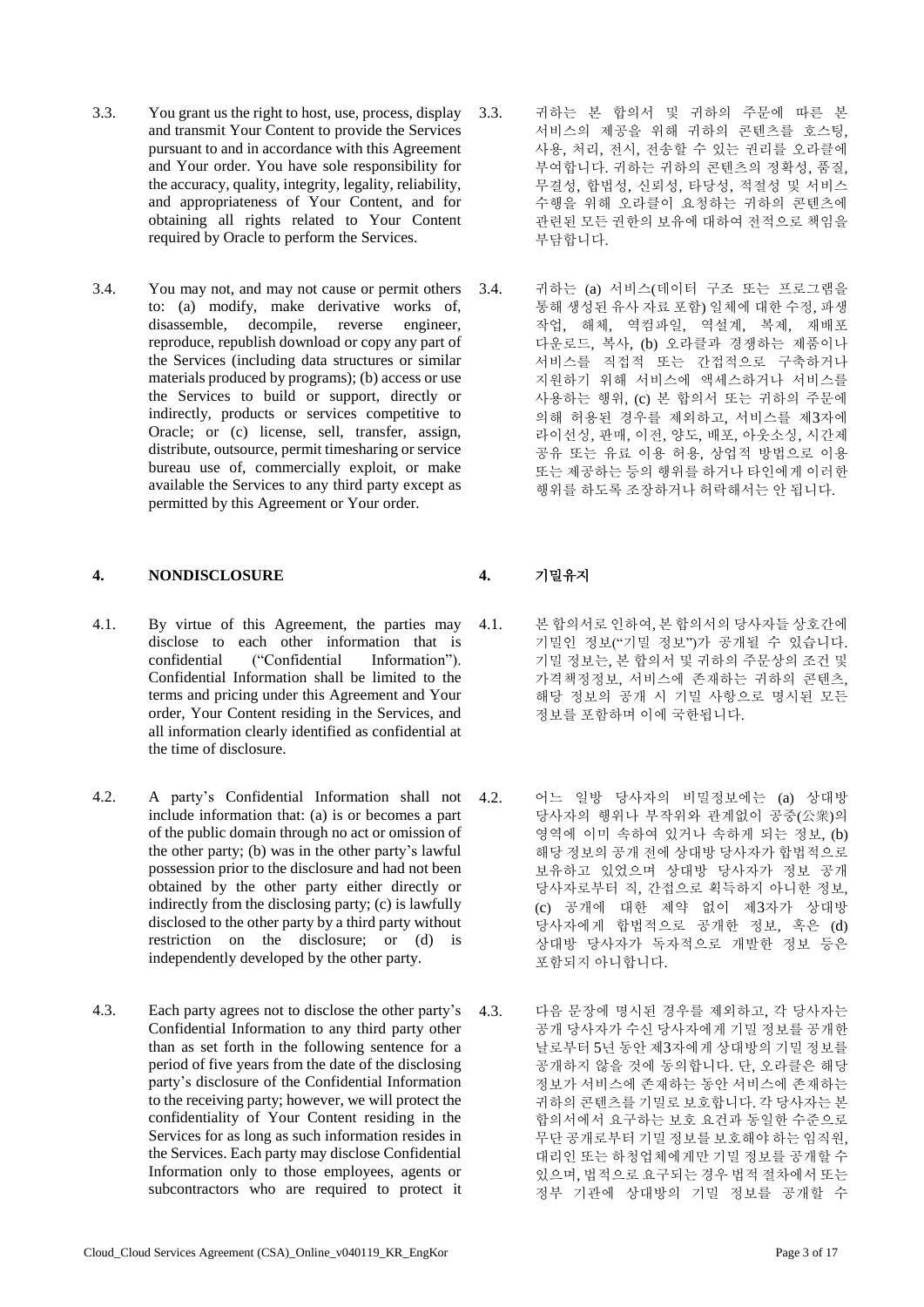- 3.3. You grant us the right to host, use, process, display and transmit Your Content to provide the Services pursuant to and in accordance with this Agreement and Your order. You have sole responsibility for the accuracy, quality, integrity, legality, reliability, and appropriateness of Your Content, and for obtaining all rights related to Your Content required by Oracle to perform the Services.
- 3.4. You may not, and may not cause or permit others to: (a) modify, make derivative works of, disassemble, decompile, reverse engineer, reproduce, republish download or copy any part of the Services (including data structures or similar materials produced by programs); (b) access or use the Services to build or support, directly or indirectly, products or services competitive to Oracle; or (c) license, sell, transfer, assign, distribute, outsource, permit timesharing or service bureau use of, commercially exploit, or make available the Services to any third party except as permitted by this Agreement or Your order.

### **4. NONDISCLOSURE 4.** 기밀유지

- 4.1. By virtue of this Agreement, the parties may disclose to each other information that is confidential ("Confidential Information"). Confidential Information shall be limited to the terms and pricing under this Agreement and Your order, Your Content residing in the Services, and all information clearly identified as confidential at the time of disclosure.
- 4.2. A party's Confidential Information shall not include information that: (a) is or becomes a part of the public domain through no act or omission of the other party; (b) was in the other party's lawful possession prior to the disclosure and had not been obtained by the other party either directly or indirectly from the disclosing party; (c) is lawfully disclosed to the other party by a third party without restriction on the disclosure; or (d) is independently developed by the other party.
- 4.3. Each party agrees not to disclose the other party's Confidential Information to any third party other than as set forth in the following sentence for a period of five years from the date of the disclosing party's disclosure of the Confidential Information to the receiving party; however, we will protect the confidentiality of Your Content residing in the Services for as long as such information resides in the Services. Each party may disclose Confidential Information only to those employees, agents or subcontractors who are required to protect it
- 3.3. 귀하는 본 합의서 및 귀하의 주문에 따른 본 서비스의 제공을 위해 귀하의 콘텐츠를 호스팅, 사용, 처리, 전시, 전송할 수 있는 권리를 오라클에 부여합니다. 귀하는 귀하의 콘텐츠의 정확성, 품질, 무결성, 합법성, 신뢰성, 타당성, 적절성 및 서비스 수행을 위해 오라클이 요청하는 귀하의 콘텐츠에 관련된 모든 권한의 보유에 대하여 전적으로 책임을 부담합니다.
- 3.4. 귀하는 (a) 서비스(데이터 구조 또는 프로그램을 통해 생성된 유사 자료 포함) 일체에 대한 수정, 파생 작업, 해체, 역컴파일, 역설계, 복제, 재배포 다운로드, 복사, (b) 오라클과 경쟁하는 제품이나 서비스를 직접적 또는 간접적으로 구축하거나 지원하기 위해 서비스에 액세스하거나 서비스를 사용하는 행위, (c) 본 합의서 또는 귀하의 주문에 의해 허용된 경우를 제외하고, 서비스를 제3자에 라이선싱, 판매, 이전, 양도, 배포, 아웃소싱, 시간제 공유 또는 유료 이용 허용, 상업적 방법으로 이용 또는 제공하는 등의 행위를 하거나 타인에게 이러한 행위를 하도록 조장하거나 허락해서는 안 됩니다.

- 4.1. 본 합의서로 인하여, 본 합의서의 당사자들 상호간에 기밀인 정보("기밀 정보")가 공개될 수 있습니다. 기밀 정보는, 본 합의서 및 귀하의 주문상의 조건 및 가격책정정보, 서비스에 존재하는 귀하의 콘텐츠, 해당 정보의 공개 시 기밀 사항으로 명시된 모든 정보를 포함하며 이에 국한됩니다.
- 4.2. 어느 일방 당사자의 비밀정보에는 (a) 상대방 당사자의 행위나 부작위와 관계없이 공중(公衆)의 영역에 이미 속하여 있거나 속하게 되는 정보, (b) 해당 정보의 공개 전에 상대방 당사자가 합법적으로 보유하고 있었으며 상대방 당사자가 정보 공개 당사자로부터 직, 간접으로 획득하지 아니한 정보, (c) 공개에 대한 제약 없이 제3자가 상대방 당사자에게 합법적으로 공개한 정보, 혹은 (d) 상대방 당사자가 독자적으로 개발한 정보 등은 포함되지 아니합니다.
- 4.3. 다음 문장에 명시된 경우를 제외하고, 각 당사자는 공개 당사자가 수신 당사자에게 기밀 정보를 공개한 날로부터 5년 동안 제3자에게 상대방의 기밀 정보를 공개하지 않을 것에 동의합니다. 단, 오라클은 해당 정보가 서비스에 존재하는 동안 서비스에 존재하는 귀하의 콘텐츠를 기밀로 보호합니다. 각 당사자는 본 합의서에서 요구하는 보호 요건과 동일한 수준으로 무단 공개로부터 기밀 정보를 보호해야 하는 임직원, 대리인 또는 하청업체에게만 기밀 정보를 공개할 수 있으며, 법적으로 요구되는 경우 법적 절차에서 또는 정부 기관에 상대방의 기밀 정보를 공개할 수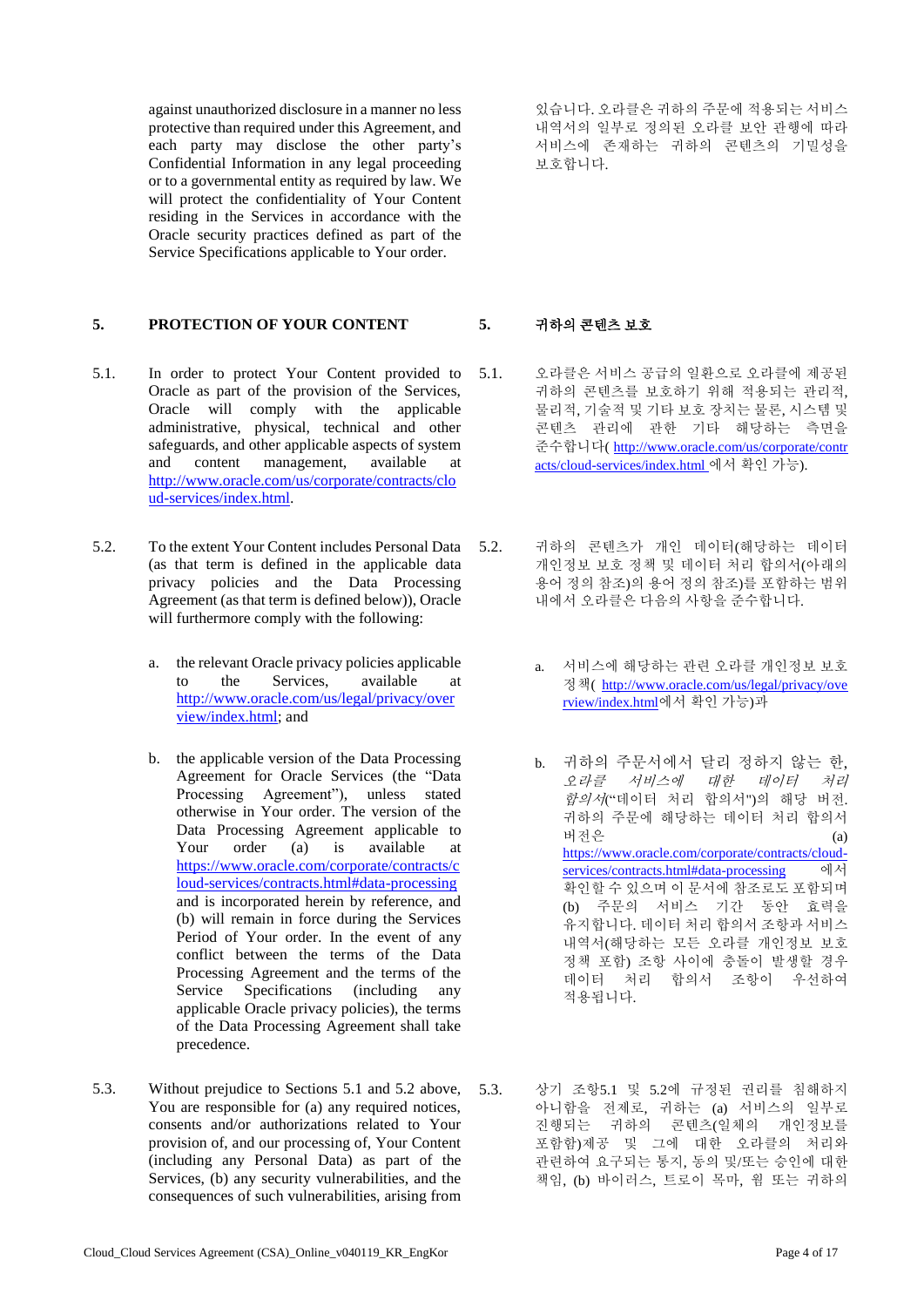against unauthorized disclosure in a manner no less protective than required under this Agreement, and each party may disclose the other party's Confidential Information in any legal proceeding or to a governmental entity as required by law. We will protect the confidentiality of Your Content residing in the Services in accordance with the Oracle security practices defined as part of the Service Specifications applicable to Your order.

# **5. PROTECTION OF YOUR CONTENT 5.** 귀하의 콘텐츠 보호

- 5.1. In order to protect Your Content provided to Oracle as part of the provision of the Services, Oracle will comply with the applicable administrative, physical, technical and other safeguards, and other applicable aspects of system and content management, available at [http://www.oracle.com/us/corporate/contracts/clo](http://www.oracle.com/us/corporate/contracts/cloud-services/index.html) [ud-services/index.html.](http://www.oracle.com/us/corporate/contracts/cloud-services/index.html)
- 5.2. To the extent Your Content includes Personal Data (as that term is defined in the applicable data privacy policies and the Data Processing Agreement (as that term is defined below)), Oracle will furthermore comply with the following:
	- a. the relevant Oracle privacy policies applicable to the Services, available at [http://www.oracle.com/us/legal/privacy/over](http://www.oracle.com/us/legal/privacy/overview/index.html) [view/index.html;](http://www.oracle.com/us/legal/privacy/overview/index.html) and
	- b. the applicable version of the Data Processing Agreement for Oracle Services (the "Data Processing Agreement"), unless stated otherwise in Your order. The version of the Data Processing Agreement applicable to Your order (a) is available at [https://www.oracle.com/corporate/contracts/c](https://www.oracle.com/corporate/contracts/cloud-services/contracts.html#data-processing) [loud-services/contracts.html#data-processing](https://www.oracle.com/corporate/contracts/cloud-services/contracts.html#data-processing) and is incorporated herein by reference, and (b) will remain in force during the Services Period of Your order. In the event of any conflict between the terms of the Data Processing Agreement and the terms of the Service Specifications (including any applicable Oracle privacy policies), the terms of the Data Processing Agreement shall take precedence.
- 5.3. Without prejudice to Sections 5.1 and 5.2 above, You are responsible for (a) any required notices, consents and/or authorizations related to Your provision of, and our processing of, Your Content (including any Personal Data) as part of the Services, (b) any security vulnerabilities, and the consequences of such vulnerabilities, arising from

있습니다. 오라클은 귀하의 주문에 적용되는 서비스 내역서의 일부로 정의된 오라클 보안 관행에 따라 서비스에 존재하는 귀하의 콘텐츠의 기밀성을 보호합니다.

- 5.1. 오라클은 서비스 공급의 일환으로 오라클에 제공된 귀하의 콘텐츠를 보호하기 위해 적용되는 관리적, 물리적, 기술적 및 기타 보호 장치는 물론, 시스템 및 콘텐츠 관리에 관한 기타 해당하는 측면을 준수합니다( [http://www.oracle.com/us/corporate/contr](http://www.oracle.com/us/corporate/contracts/cloud-services/index.html) [acts/cloud-services/index.html](http://www.oracle.com/us/corporate/contracts/cloud-services/index.html) 에서 확인 가능).
- 5.2. 귀하의 콘텐츠가 개인 데이터(해당하는 데이터 개인정보 보호 정책 및 데이터 처리 합의서(아래의 용어 정의 참조)의 용어 정의 참조)를 포함하는 범위 내에서 오라클은 다음의 사항을 준수합니다.
	- a. 서비스에 해당하는 관련 오라클 개인정보 보호 정책( [http://www.oracle.com/us/legal/privacy/ove](http://www.oracle.com/us/legal/privacy/overview/index.html) [rview/index.html](http://www.oracle.com/us/legal/privacy/overview/index.html)에서 확인 가능)과
	- b. 귀하의 주문서에서 달리 정하지 않는 한, 오라클 서비스에 대한 데이터 처리 합의서("데이터 처리 합의서")의 해당 버전. 귀하의 주문에 해당하는 데이터 처리 합의서 버전은 (a) [https://www.oracle.com/corporate/contracts/cloud](https://www.oracle.com/corporate/contracts/cloud-services/contracts.html#data-processing)[services/contracts.html#data-processing](https://www.oracle.com/corporate/contracts/cloud-services/contracts.html#data-processing) 에서 확인할 수 있으며 이 문서에 참조로도 포함되며 (b) 주문의 서비스 기간 동안 효력을 유지합니다. 데이터 처리 합의서 조항과 서비스 내역서(해당하는 모든 오라클 개인정보 보호 정책 포함) 조항 사이에 충돌이 발생할 경우 데이터 처리 합의서 조항이 우선하여 적용됩니다.
- 5.3. 상기 조항5.1 및 5.2에 규정된 권리를 침해하지 아니함을 전제로, 귀하는 (a) 서비스의 일부로 진행되는 귀하의 콘텐츠(일체의 개인정보를 포함함)제공 및 그에 대한 오라클의 처리와 관련하여 요구되는 통지, 동의 및/또는 승인에 대한 책임, (b) 바이러스, 트로이 목마, 웜 또는 귀하의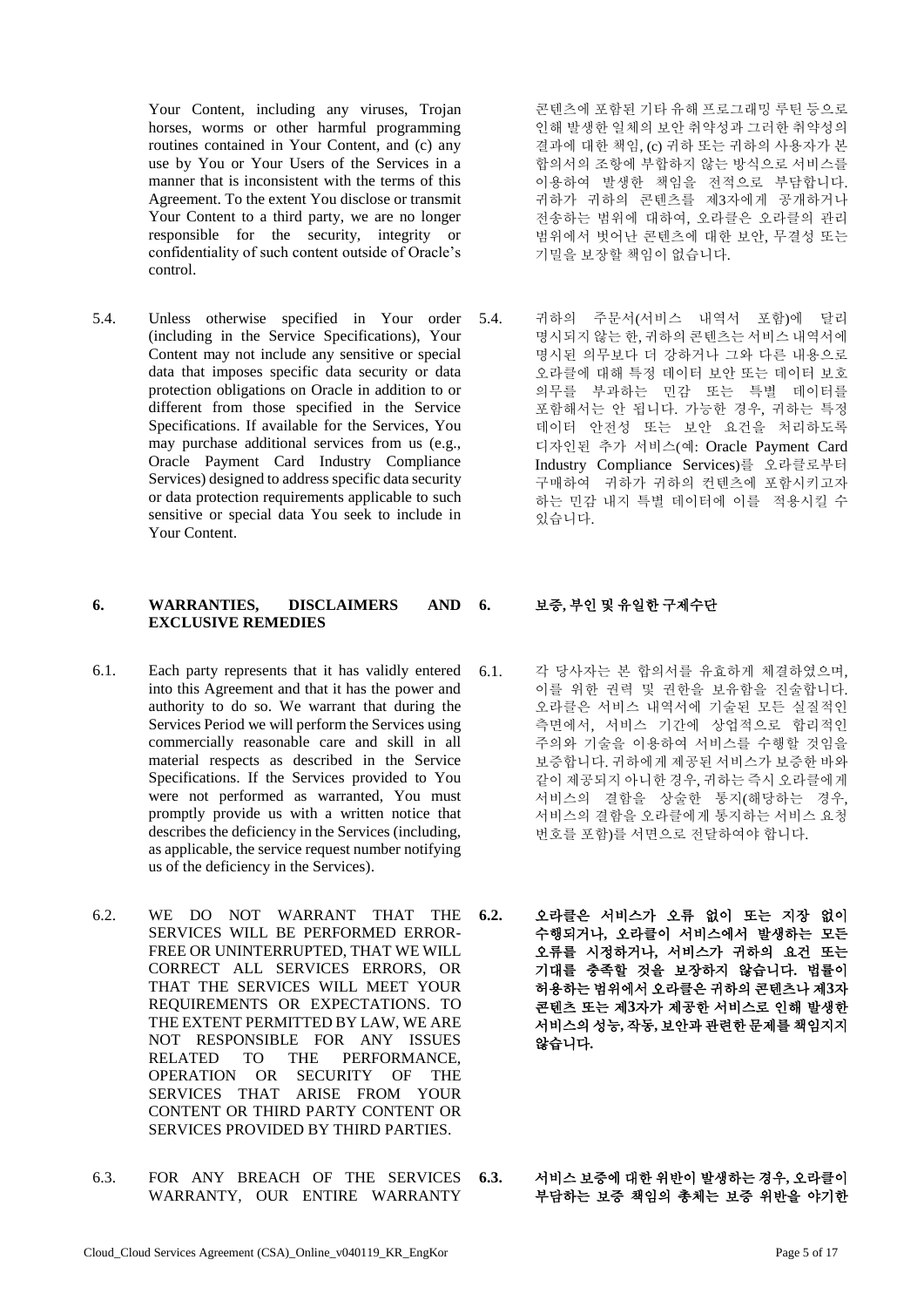Your Content, including any viruses, Trojan horses, worms or other harmful programming routines contained in Your Content, and (c) any use by You or Your Users of the Services in a manner that is inconsistent with the terms of this Agreement. To the extent You disclose or transmit Your Content to a third party, we are no longer responsible for the security, integrity or confidentiality of such content outside of Oracle's control.

5.4. Unless otherwise specified in Your order (including in the Service Specifications), Your Content may not include any sensitive or special data that imposes specific data security or data protection obligations on Oracle in addition to or different from those specified in the Service Specifications. If available for the Services, You may purchase additional services from us (e.g., Oracle Payment Card Industry Compliance Services) designed to address specific data security or data protection requirements applicable to such sensitive or special data You seek to include in Your Content.

### **6. WARRANTIES, DISCLAIMERS AND EXCLUSIVE REMEDIES**

- 6.1. Each party represents that it has validly entered into this Agreement and that it has the power and authority to do so. We warrant that during the Services Period we will perform the Services using commercially reasonable care and skill in all material respects as described in the Service Specifications. If the Services provided to You were not performed as warranted, You must promptly provide us with a written notice that describes the deficiency in the Services (including, as applicable, the service request number notifying us of the deficiency in the Services).
- 6.2. WE DO NOT WARRANT THAT THE SERVICES WILL BE PERFORMED ERROR-FREE OR UNINTERRUPTED, THAT WE WILL CORRECT ALL SERVICES ERRORS, OR THAT THE SERVICES WILL MEET YOUR REQUIREMENTS OR EXPECTATIONS. TO THE EXTENT PERMITTED BY LAW, WE ARE NOT RESPONSIBLE FOR ANY ISSUES RELATED TO THE PERFORMANCE, OPERATION OR SECURITY OF THE SERVICES THAT ARISE FROM YOUR CONTENT OR THIRD PARTY CONTENT OR SERVICES PROVIDED BY THIRD PARTIES.
- 6.3. FOR ANY BREACH OF THE SERVICES WARRANTY, OUR ENTIRE WARRANTY

콘텐츠에 포함된 기타 유해 프로그래밍 루틴 등으로 인해 발생한 일체의 보안 취약성과 그러한 취약성의 결과에 대한 책임, (c) 귀하 또는 귀하의 사용자가 본 합의서의 조항에 부합하지 않는 방식으로 서비스를 이용하여 발생한 책임을 전적으로 부담합니다. 귀하가 귀하의 콘텐츠를 제3자에게 공개하거나 전송하는 범위에 대하여, 오라클은 오라클의 관리 범위에서 벗어난 콘텐츠에 대한 보안, 무결성 또는 기밀을 보장할 책임이 없습니다.

5.4. 귀하의 주문서(서비스 내역서 포함)에 달리 명시되지 않는 한, 귀하의 콘텐츠는 서비스 내역서에 명시된 의무보다 더 강하거나 그와 다른 내용으로 오라클에 대해 특정 데이터 보안 또는 데이터 보호 의무를 부과하는 민감 또는 특별 데이터를 포함해서는 안 됩니다. 가능한 경우, 귀하는 특정 데이터 안전성 또는 보안 요건을 처리하도록 디자인된 추가 서비스(예: Oracle Payment Card Industry Compliance Services)를 오라클로부터 구매하여 귀하가 귀하의 컨텐츠에 포함시키고자 하는 민감 내지 특별 데이터에 이를 적용시킬 수 있습니다.

# **6.** 보증**,** 부인 및 유일한 구제수단

- 6.1. 각 당사자는 본 합의서를 유효하게 체결하였으며, 이를 위한 권력 및 권한을 보유함을 진술합니다. 오라클은 서비스 내역서에 기술된 모든 실질적인 측면에서, 서비스 기간에 상업적으로 합리적인 주의와 기술을 이용하여 서비스를 수행할 것임을 보증합니다. 귀하에게 제공된 서비스가 보증한 바와 같이 제공되지 아니한 경우, 귀하는 즉시 오라클에게 서비스의 결함을 상술한 통지(해당하는 경우, 서비스의 결함을 오라클에게 통지하는 서비스 요청 번호를 포함)를 서면으로 전달하여야 합니다.
- **6.2.** 오라클은 서비스가 오류 없이 또는 지장 없이 수행되거나**,** 오라클이 서비스에서 발생하는 모든 오류를 시정하거나**,** 서비스가 귀하의 요건 또는 기대를 충족할 것을 보장하지 않습니다**.** 법률이 허용하는 범위에서 오라클은 귀하의 콘텐츠나 제**3**자 콘텐츠 또는 제**3**자가 제공한 서비스로 인해 발생한 서비스의 성능**,** 작동**,** 보안과 관련한 문제를 책임지지 않습니다**.**
- **6.3.** 서비스 보증에 대한 위반이 발생하는 경우**,** 오라클이 부담하는 보증 책임의 총체는 보증 위반을 야기한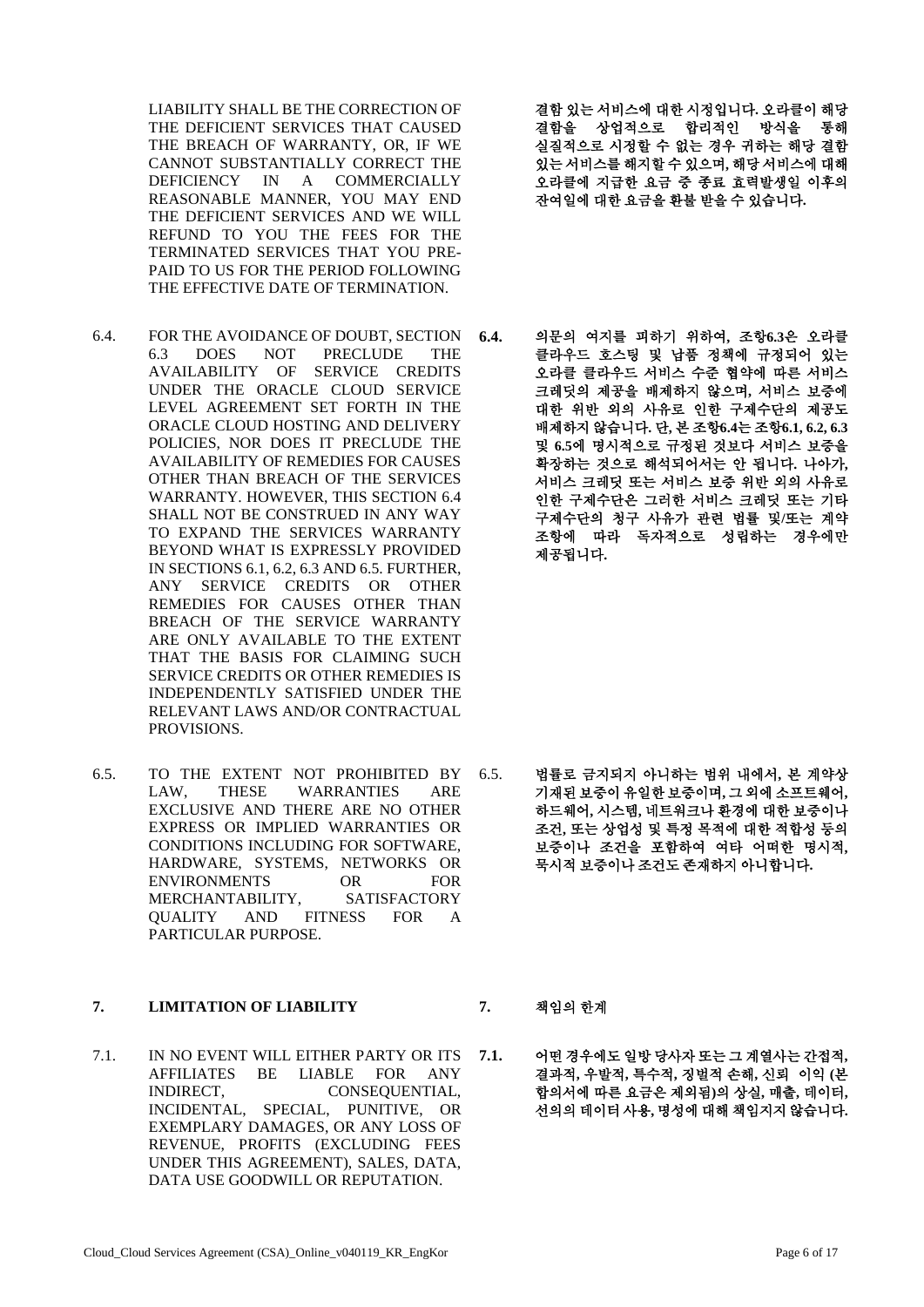LIABILITY SHALL BE THE CORRECTION OF THE DEFICIENT SERVICES THAT CAUSED THE BREACH OF WARRANTY, OR, IF WE CANNOT SUBSTANTIALLY CORRECT THE DEFICIENCY IN A COMMERCIALLY REASONABLE MANNER, YOU MAY END THE DEFICIENT SERVICES AND WE WILL REFUND TO YOU THE FEES FOR THE TERMINATED SERVICES THAT YOU PRE-PAID TO US FOR THE PERIOD FOLLOWING THE EFFECTIVE DATE OF TERMINATION.

- 6.4. FOR THE AVOIDANCE OF DOUBT, SECTION 6.3 DOES NOT PRECLUDE THE AVAILABILITY OF SERVICE CREDITS UNDER THE ORACLE CLOUD SERVICE LEVEL AGREEMENT SET FORTH IN THE ORACLE CLOUD HOSTING AND DELIVERY POLICIES, NOR DOES IT PRECLUDE THE AVAILABILITY OF REMEDIES FOR CAUSES OTHER THAN BREACH OF THE SERVICES WARRANTY. HOWEVER, THIS SECTION 6.4 SHALL NOT BE CONSTRUED IN ANY WAY TO EXPAND THE SERVICES WARRANTY BEYOND WHAT IS EXPRESSLY PROVIDED IN SECTIONS 6.1, 6.2, 6.3 AND 6.5. FURTHER, ANY SERVICE CREDITS OR OTHER REMEDIES FOR CAUSES OTHER THAN BREACH OF THE SERVICE WARRANTY ARE ONLY AVAILABLE TO THE EXTENT THAT THE BASIS FOR CLAIMING SUCH SERVICE CREDITS OR OTHER REMEDIES IS INDEPENDENTLY SATISFIED UNDER THE RELEVANT LAWS AND/OR CONTRACTUAL PROVISIONS.
- 6.5. TO THE EXTENT NOT PROHIBITED BY LAW, THESE WARRANTIES ARE EXCLUSIVE AND THERE ARE NO OTHER EXPRESS OR IMPLIED WARRANTIES OR CONDITIONS INCLUDING FOR SOFTWARE, HARDWARE, SYSTEMS, NETWORKS OR ENVIRONMENTS OR FOR MERCHANTABILITY, SATISFACTORY QUALITY AND FITNESS FOR A PARTICULAR PURPOSE.

### **7. LIMITATION OF LIABILITY 7.** 책임의 한계

7.1. IN NO EVENT WILL EITHER PARTY OR ITS AFFILIATES BE LIABLE FOR ANY INDIRECT, CONSEQUENTIAL, INCIDENTAL, SPECIAL, PUNITIVE, OR EXEMPLARY DAMAGES, OR ANY LOSS OF REVENUE, PROFITS (EXCLUDING FEES UNDER THIS AGREEMENT), SALES, DATA, DATA USE GOODWILL OR REPUTATION.

결함 있는 서비스에 대한 시정입니다**.** 오라클이 해당 결함을 상업적으로 합리적인 방식을 통해 실질적으로 시정할 수 없는 경우 귀하는 해당 결함 있는 서비스를 해지할 수 있으며**,** 해당 서비스에 대해 오라클에 지급한 요금 중 종료 효력발생일 이후의 잔여일에 대한 요금을 환불 받을 수 있습니다**.**

**6.4.** 의문의 여지를 피하기 위하여**,** 조항**6.3**은 오라클 클라우드 호스팅 및 납품 정책에 규정되어 있는 오라클 클라우드 서비스 수준 협약에 따른 서비스 크레딧의 제공을 배제하지 않으며**,** 서비스 보증에 대한 위반 외의 사유로 인한 구제수단의 제공도 배제하지 않습니다**.** 단**,** 본 조항**6.4**는 조항**6.1, 6.2, 6.3**  및 **6.5**에 명시적으로 규정된 것보다 서비스 보증을 확장하는 것으로 해석되어서는 안 됩니다**.** 나아가**,**  서비스 크레딧 또는 서비스 보증 위반 외의 사유로 인한 구제수단은 그러한 서비스 크레딧 또는 기타 구제수단의 청구 사유가 관련 법률 및**/**또는 계약 조항에 따라 독자적으로 성립하는 경우에만 제공됩니다**.**

6.5. 법률로 금지되지 아니하는 범위 내에서**,** 본 계약상 기재된 보증이 유일한 보증이며**,** 그 외에 소프트웨어**,**  하드웨어**,** 시스템**,** 네트워크나 환경에 대한 보증이나 조건**,** 또는 상업성 및 특정 목적에 대한 적합성 등의 보증이나 조건을 포함하여 여타 어떠한 명시적**,**  묵시적 보증이나 조건도 존재하지 아니합니다**.**

**7.1.** 어떤 경우에도 일방 당사자 또는 그 계열사는 간접적**,**  결과적**,** 우발적**,** 특수적**,** 징벌적 손해**,** 신뢰 이익 **(**본 합의서에 따른 요금은 제외됨**)**의 상실**,** 매출**,** 데이터**,**  선의의 데이터 사용**,** 명성에 대해 책임지지 않습니다**.**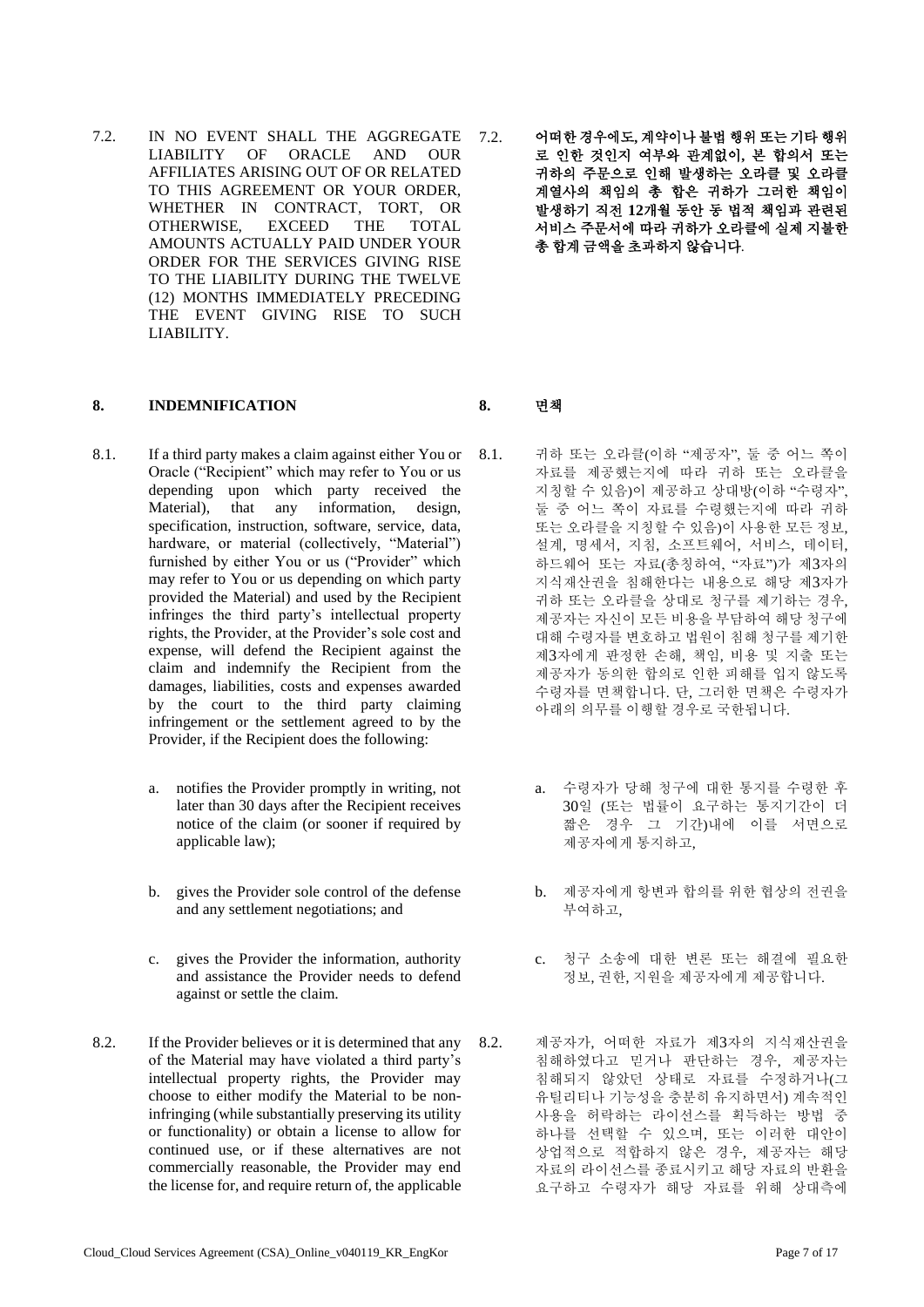- 7.2. IN NO EVENT SHALL THE AGGREGATE LIABILITY OF ORACLE AND OUR AFFILIATES ARISING OUT OF OR RELATED TO THIS AGREEMENT OR YOUR ORDER, WHETHER IN CONTRACT, TORT, OR OTHERWISE, EXCEED THE TOTAL AMOUNTS ACTUALLY PAID UNDER YOUR ORDER FOR THE SERVICES GIVING RISE TO THE LIABILITY DURING THE TWELVE (12) MONTHS IMMEDIATELY PRECEDING THE EVENT GIVING RISE TO SUCH LIABILITY.
- **8. INDEMNIFICATION 8.** 면책
- 8.1. If a third party makes a claim against either You or Oracle ("Recipient" which may refer to You or us depending upon which party received the Material), that any information, design, specification, instruction, software, service, data, hardware, or material (collectively, "Material") furnished by either You or us ("Provider" which may refer to You or us depending on which party provided the Material) and used by the Recipient infringes the third party's intellectual property rights, the Provider, at the Provider's sole cost and expense, will defend the Recipient against the claim and indemnify the Recipient from the damages, liabilities, costs and expenses awarded by the court to the third party claiming infringement or the settlement agreed to by the Provider, if the Recipient does the following:
	- a. notifies the Provider promptly in writing, not later than 30 days after the Recipient receives notice of the claim (or sooner if required by applicable law);
	- b. gives the Provider sole control of the defense and any settlement negotiations; and
	- c. gives the Provider the information, authority and assistance the Provider needs to defend against or settle the claim.
- 8.2. If the Provider believes or it is determined that any of the Material may have violated a third party's intellectual property rights, the Provider may choose to either modify the Material to be noninfringing (while substantially preserving its utility or functionality) or obtain a license to allow for continued use, or if these alternatives are not commercially reasonable, the Provider may end the license for, and require return of, the applicable

7.2. 어떠한 경우에도**,** 계약이나 불법 행위 또는 기타 행위 로 인한 것인지 여부와 관계없이**,** 본 합의서 또는 귀하의 주문으로 인해 발생하는 오라클 및 오라클 계열사의 책임의 총 합은 귀하가 그러한 책임이 발생하기 직전 **12**개월 동안 동 법적 책임과 관련된 서비스 주문서에 따라 귀하가 오라클에 실제 지불한 총 합계 금액을 초과하지 않습니다.

- 8.1. 귀하 또는 오라클(이하 "제공자", 둘 중 어느 쪽이 자료를 제공했는지에 따라 귀하 또는 오라클을 지칭할 수 있음)이 제공하고 상대방(이하 "수령자", 둘 중 어느 쪽이 자료를 수령했는지에 따라 귀하 또는 오라클을 지칭할 수 있음)이 사용한 모든 정보, 설계, 명세서, 지침, 소프트웨어, 서비스, 데이터, 하드웨어 또는 자료(총칭하여, "자료")가 제3자의 지식재산권을 침해한다는 내용으로 해당 제3자가 귀하 또는 오라클을 상대로 청구를 제기하는 경우, 제공자는 자신이 모든 비용을 부담하여 해당 청구에 대해 수령자를 변호하고 법원이 침해 청구를 제기한 제3자에게 판정한 손해, 책임, 비용 및 지출 또는 제공자가 동의한 합의로 인한 피해를 입지 않도록 수령자를 면책합니다. 단, 그러한 면책은 수령자가 아래의 의무를 이행할 경우로 국한됩니다.
	- a. 수령자가 당해 청구에 대한 통지를 수령한 후 30일 (또는 법률이 요구하는 통지기간이 더 짧은 경우 그 기간)내에 이를 서면으로 제공자에게 통지하고,
	- b. 제공자에게 항변과 합의를 위한 협상의 전권을 부여하고,
	- c. 청구 소송에 대한 변론 또는 해결에 필요한 정보, 권한, 지원을 제공자에게 제공합니다.
- 8.2. 제공자가, 어떠한 자료가 제3자의 지식재산권을 침해하였다고 믿거나 판단하는 경우, 제공자는 침해되지 않았던 상태로 자료를 수정하거나(그 유틸리티나 기능성을 충분히 유지하면서) 계속적인 사용을 허락하는 라이선스를 획득하는 방법 중 하나를 선택할 수 있으며, 또는 이러한 대안이 상업적으로 적합하지 않은 경우, 제공자는 해당 자료의 라이선스를 종료시키고 해당 자료의 반환을 요구하고 수령자가 해당 자료를 위해 상대측에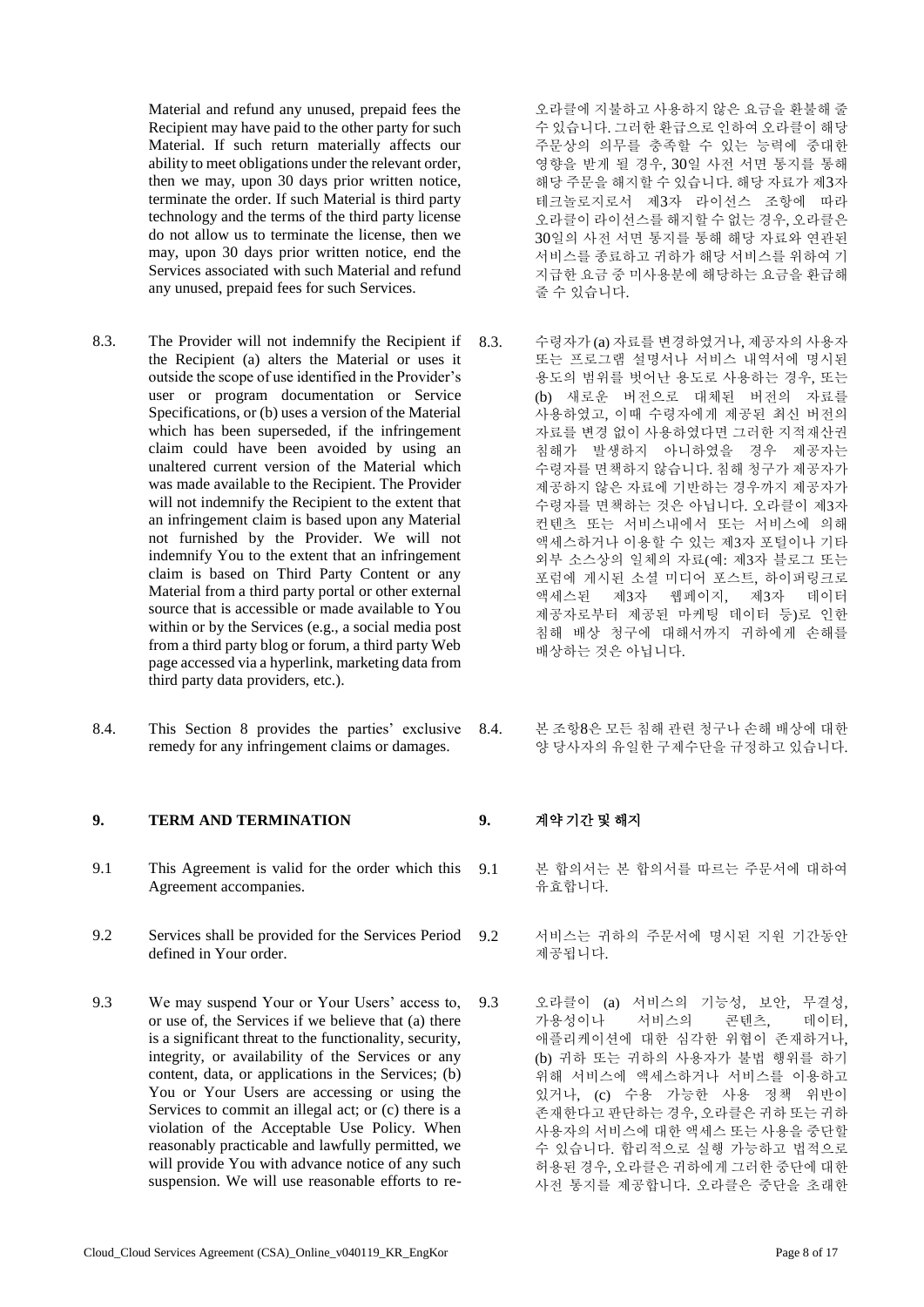Material and refund any unused, prepaid fees the Recipient may have paid to the other party for such Material. If such return materially affects our ability to meet obligations under the relevant order, then we may, upon 30 days prior written notice, terminate the order. If such Material is third party technology and the terms of the third party license do not allow us to terminate the license, then we may, upon 30 days prior written notice, end the Services associated with such Material and refund any unused, prepaid fees for such Services.

- 8.3. The Provider will not indemnify the Recipient if the Recipient (a) alters the Material or uses it outside the scope of use identified in the Provider's user or program documentation or Service Specifications, or (b) uses a version of the Material which has been superseded, if the infringement claim could have been avoided by using an unaltered current version of the Material which was made available to the Recipient. The Provider will not indemnify the Recipient to the extent that an infringement claim is based upon any Material not furnished by the Provider. We will not indemnify You to the extent that an infringement claim is based on Third Party Content or any Material from a third party portal or other external source that is accessible or made available to You within or by the Services (e.g., a social media post from a third party blog or forum, a third party Web page accessed via a hyperlink, marketing data from third party data providers, etc.).
- 8.4. This Section 8 provides the parties' exclusive remedy for any infringement claims or damages.

### **9. TERM AND TERMINATION 9.** 계약 기간 및 해지

- 9.1 This Agreement is valid for the order which this Agreement accompanies.
- 9.2 Services shall be provided for the Services Period defined in Your order.
- 9.3 We may suspend Your or Your Users' access to, or use of, the Services if we believe that (a) there is a significant threat to the functionality, security, integrity, or availability of the Services or any content, data, or applications in the Services; (b) You or Your Users are accessing or using the Services to commit an illegal act; or (c) there is a violation of the Acceptable Use Policy. When reasonably practicable and lawfully permitted, we will provide You with advance notice of any such suspension. We will use reasonable efforts to re-

오라클에 지불하고 사용하지 않은 요금을 환불해 줄 수 있습니다. 그러한 환급으로 인하여 오라클이 해당 주문상의 의무를 충족할 수 있는 능력에 중대한 영향을 받게 될 경우, 30일 사전 서면 통지를 통해 해당 주문을 해지할 수 있습니다. 해당 자료가 제3자 테크놀로지로서 제3자 라이선스 조항에 따라 오라클이 라이선스를 해지할 수 없는 경우, 오라클은 30일의 사전 서면 통지를 통해 해당 자료와 연관된 서비스를 종료하고 귀하가 해당 서비스를 위하여 기 지급한 요금 중 미사용분에 해당하는 요금을 환급해 줄 수 있습니다.

- 8.3. 수령자가 (a) 자료를 변경하였거나, 제공자의 사용자 또는 프로그램 설명서나 서비스 내역서에 명시된 용도의 범위를 벗어난 용도로 사용하는 경우, 또는 (b) 새로운 버전으로 대체된 버전의 자료를 사용하였고, 이때 수령자에게 제공된 최신 버전의 자료를 변경 없이 사용하였다면 그러한 지적재산권 침해가 발생하지 아니하였을 경우 제공자는 수령자를 면책하지 않습니다. 침해 청구가 제공자가 제공하지 않은 자료에 기반하는 경우까지 제공자가 수령자를 면책하는 것은 아닙니다. 오라클이 제3자 컨텐츠 또는 서비스내에서 또는 서비스에 의해 액세스하거나 이용할 수 있는 제3자 포털이나 기타 외부 소스상의 일체의 자료(예: 제3자 블로그 또는 포럼에 게시된 소셜 미디어 포스트, 하이퍼링크로 액세스된 제3자 웹페이지, 제3자 데이터 제공자로부터 제공된 마케팅 데이터 등)로 인한 침해 배상 청구에 대해서까지 귀하에게 손해를 배상하는 것은 아닙니다.
- 8.4. 본 조항8은 모든 침해 관련 청구나 손해 배상에 대한 양 당사자의 유일한 구제수단을 규정하고 있습니다.

- 9.1 본 합의서는 본 합의서를 따르는 주문서에 대하여 유효합니다.
- 9.2 서비스는 귀하의 주문서에 명시된 지원 기간동안 제공됩니다.
- 9.3 오라클이 (a) 서비스의 기능성, 보안, 무결성, 가용성이나 서비스의 콘텐츠, 데이터, 애플리케이션에 대한 심각한 위협이 존재하거나, (b) 귀하 또는 귀하의 사용자가 불법 행위를 하기 위해 서비스에 액세스하거나 서비스를 이용하고 있거나, (c) 수용 가능한 사용 정책 위반이 존재한다고 판단하는 경우, 오라클은 귀하 또는 귀하 사용자의 서비스에 대한 액세스 또는 사용을 중단할 수 있습니다. 합리적으로 실행 가능하고 법적으로 허용된 경우, 오라클은 귀하에게 그러한 중단에 대한 사전 통지를 제공합니다. 오라클은 중단을 초래한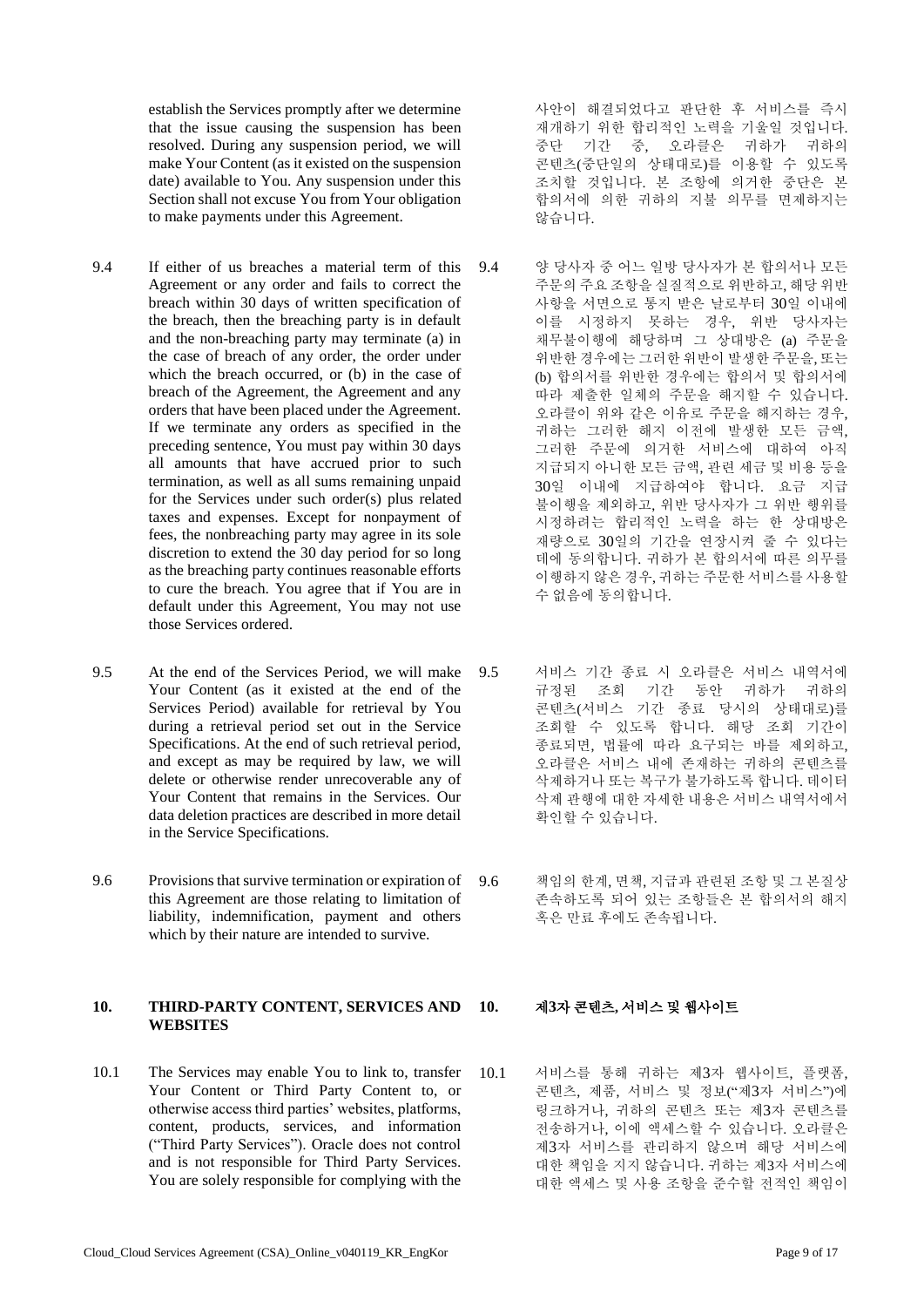establish the Services promptly after we determine that the issue causing the suspension has been resolved. During any suspension period, we will make Your Content (as it existed on the suspension date) available to You. Any suspension under this Section shall not excuse You from Your obligation to make payments under this Agreement.

- 9.4 If either of us breaches a material term of this Agreement or any order and fails to correct the breach within 30 days of written specification of the breach, then the breaching party is in default and the non-breaching party may terminate (a) in the case of breach of any order, the order under which the breach occurred, or (b) in the case of breach of the Agreement, the Agreement and any orders that have been placed under the Agreement. If we terminate any orders as specified in the preceding sentence, You must pay within 30 days all amounts that have accrued prior to such termination, as well as all sums remaining unpaid for the Services under such order(s) plus related taxes and expenses. Except for nonpayment of fees, the nonbreaching party may agree in its sole discretion to extend the 30 day period for so long as the breaching party continues reasonable efforts to cure the breach. You agree that if You are in default under this Agreement, You may not use those Services ordered.
- 9.5 At the end of the Services Period, we will make Your Content (as it existed at the end of the Services Period) available for retrieval by You during a retrieval period set out in the Service Specifications. At the end of such retrieval period, and except as may be required by law, we will delete or otherwise render unrecoverable any of Your Content that remains in the Services. Our data deletion practices are described in more detail in the Service Specifications.
- 9.6 Provisions that survive termination or expiration of this Agreement are those relating to limitation of liability, indemnification, payment and others which by their nature are intended to survive.

### **10. THIRD-PARTY CONTENT, SERVICES AND WEBSITES**

10.1 The Services may enable You to link to, transfer Your Content or Third Party Content to, or otherwise access third parties' websites, platforms, content, products, services, and information ("Third Party Services"). Oracle does not control and is not responsible for Third Party Services. You are solely responsible for complying with the

사안이 해결되었다고 판단한 후 서비스를 즉시 재개하기 위한 합리적인 노력을 기울일 것입니다. 중단 기간 중, 오라클은 귀하가 귀하의 콘텐츠(중단일의 상태대로)를 이용할 수 있도록 조치할 것입니다. 본 조항에 의거한 중단은 본 합의서에 의한 귀하의 지불 의무를 면제하지는 않습니다.

- 9.4 양 당사자 중 어느 일방 당사자가 본 합의서나 모든 주문의 주요 조항을 실질적으로 위반하고, 해당 위반 사항을 서면으로 통지 받은 날로부터 30일 이내에 이를 시정하지 못하는 경우, 위반 당사자는 채무불이행에 해당하며 그 상대방은 (a) 주문을 위반한 경우에는 그러한 위반이 발생한 주문을, 또는 (b) 합의서를 위반한 경우에는 합의서 및 합의서에 따라 제출한 일체의 주문을 해지할 수 있습니다. 오라클이 위와 같은 이유로 주문을 해지하는 경우, 귀하는 그러한 해지 이전에 발생한 모든 금액, 그러한 주문에 의거한 서비스에 대하여 아직 지급되지 아니한 모든 금액, 관련 세금 및 비용 등을 30일 이내에 지급하여야 합니다. 요금 지급 불이행을 제외하고, 위반 당사자가 그 위반 행위를 시정하려는 합리적인 노력을 하는 한 상대방은 재량으로 30일의 기간을 연장시켜 줄 수 있다는 데에 동의합니다. 귀하가 본 합의서에 따른 의무를 이행하지 않은 경우, 귀하는 주문한 서비스를 사용할 수 없음에 동의합니다.
- 9.5 서비스 기간 종료 시 오라클은 서비스 내역서에 규정된 조회 기간 동안 귀하가 귀하의 콘텐츠(서비스 기간 종료 당시의 상태대로)를 조회할 수 있도록 합니다. 해당 조회 기간이 종료되면, 법률에 따라 요구되는 바를 제외하고, 오라클은 서비스 내에 존재하는 귀하의 콘텐츠를 삭제하거나 또는 복구가 불가하도록 합니다. 데이터 삭제 관행에 대한 자세한 내용은 서비스 내역서에서 확인할 수 있습니다.
- 9.6 책임의 한계, 면책, 지급과 관련된 조항 및 그 본질상 존속하도록 되어 있는 조항들은 본 합의서의 해지 혹은 만료 후에도 존속됩니다.

### **10.** 제**3**자 콘텐츠**,** 서비스 및 웹사이트

10.1 서비스를 통해 귀하는 제3자 웹사이트, 플랫폼, 콘텐츠, 제품, 서비스 및 정보("제3자 서비스")에 링크하거나, 귀하의 콘텐츠 또는 제3자 콘텐츠를 전송하거나, 이에 액세스할 수 있습니다. 오라클은 제3자 서비스를 관리하지 않으며 해당 서비스에 대한 책임을 지지 않습니다. 귀하는 제3자 서비스에 대한 액세스 및 사용 조항을 준수할 전적인 책임이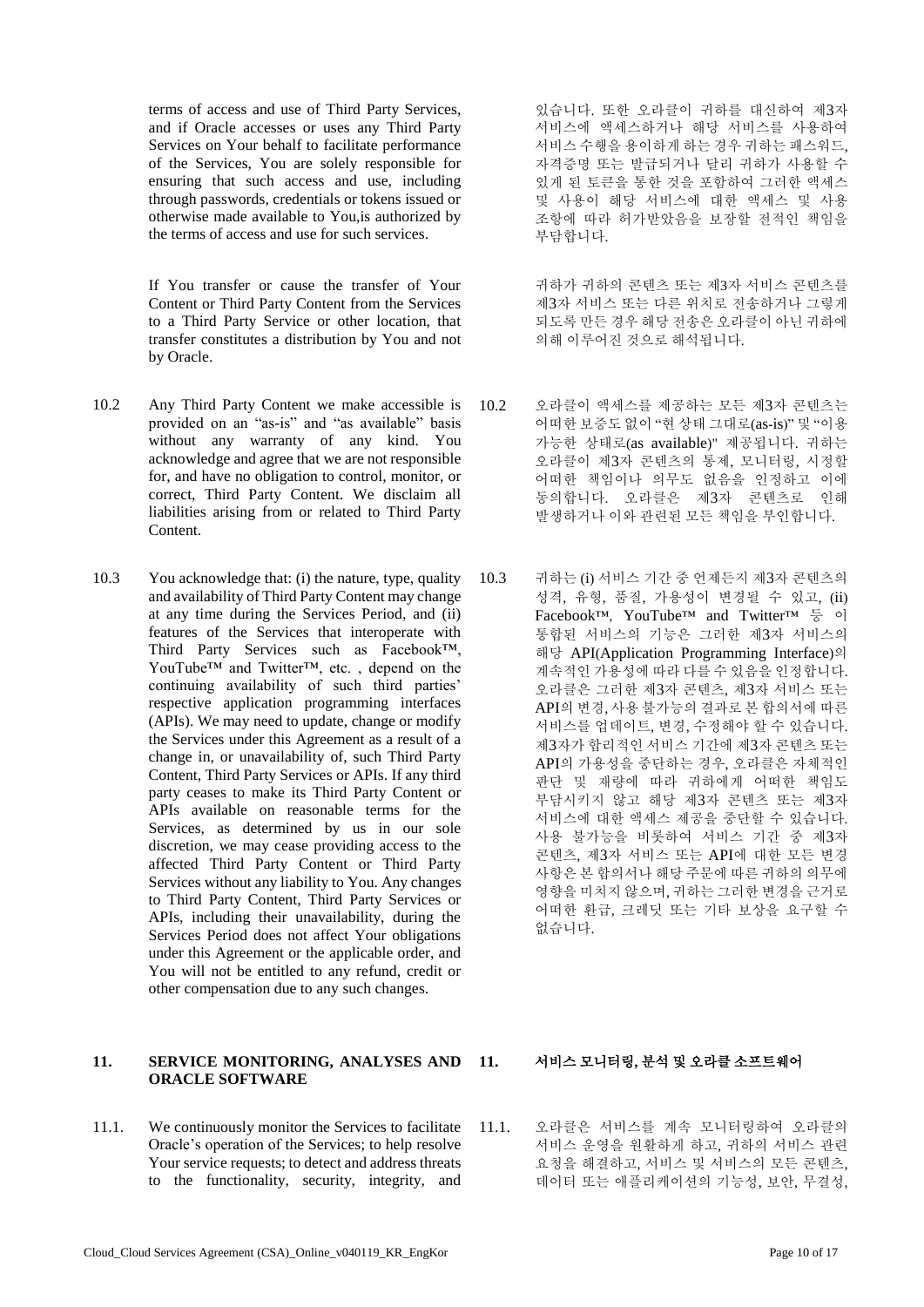terms of access and use of Third Party Services, and if Oracle accesses or uses any Third Party Services on Your behalf to facilitate performance of the Services, You are solely responsible for ensuring that such access and use, including through passwords, credentials or tokens issued or otherwise made available to You,is authorized by the terms of access and use for such services.

If You transfer or cause the transfer of Your Content or Third Party Content from the Services to a Third Party Service or other location, that transfer constitutes a distribution by You and not by Oracle.

- 10.2 Any Third Party Content we make accessible is provided on an "as-is" and "as available" basis without any warranty of any kind. You acknowledge and agree that we are not responsible for, and have no obligation to control, monitor, or correct, Third Party Content. We disclaim all liabilities arising from or related to Third Party Content.
- 10.3 You acknowledge that: (i) the nature, type, quality and availability of Third Party Content may change at any time during the Services Period, and (ii) features of the Services that interoperate with Third Party Services such as Facebook™, YouTube™ and Twitter™, etc. , depend on the continuing availability of such third parties' respective application programming interfaces (APIs). We may need to update, change or modify the Services under this Agreement as a result of a change in, or unavailability of, such Third Party Content, Third Party Services or APIs. If any third party ceases to make its Third Party Content or APIs available on reasonable terms for the Services, as determined by us in our sole discretion, we may cease providing access to the affected Third Party Content or Third Party Services without any liability to You. Any changes to Third Party Content, Third Party Services or APIs, including their unavailability, during the Services Period does not affect Your obligations under this Agreement or the applicable order, and You will not be entitled to any refund, credit or other compensation due to any such changes.

# **11. SERVICE MONITORING, ANALYSES AND ORACLE SOFTWARE**

11.1. We continuously monitor the Services to facilitate Oracle's operation of the Services; to help resolve Your service requests; to detect and address threats to the functionality, security, integrity, and

있습니다. 또한 오라클이 귀하를 대신하여 제3자 서비스에 액세스하거나 해당 서비스를 사용하여 서비스 수행을 용이하게 하는 경우 귀하는 패스워드, 자격증명 또는 발급되거나 달리 귀하가 사용할 수 있게 된 토큰을 통한 것을 포함하여 그러한 액세스 및 사용이 해당 서비스에 대한 액세스 및 사용 조항에 따라 허가받았음을 보장할 전적인 책임을 부담합니다.

귀하가 귀하의 콘텐츠 또는 제3자 서비스 콘텐츠를 제3자 서비스 또는 다른 위치로 전송하거나 그렇게 되도록 만든 경우 해당 전송은 오라클이 아닌 귀하에 의해 이루어진 것으로 해석됩니다.

- 10.2 오라클이 액세스를 제공하는 모든 제3자 콘텐츠는 어떠한 보증도 없이 "현 상태 그대로(as-is)" 및 "이용 가능한 상태로(as available)" 제공됩니다. 귀하는 오라클이 제3자 콘텐츠의 통제, 모니터링, 시정할 어떠한 책임이나 의무도 없음을 인정하고 이에 동의합니다. 오라클은 제3자 콘텐츠로 인해 발생하거나 이와 관련된 모든 책임을 부인합니다.
- 10.3 귀하는 (i) 서비스 기간 중 언제든지 제3자 콘텐츠의 성격, 유형, 품질, 가용성이 변경될 수 있고, (ii) Facebook™, YouTube™ and Twitter™ 등 이 통합된 서비스의 기능은 그러한 제3자 서비스의 해당 API(Application Programming Interface)의 계속적인 가용성에 따라 다를 수 있음을 인정합니다. 오라클은 그러한 제3자 콘텐츠, 제3자 서비스 또는 API의 변경, 사용 불가능의 결과로 본 합의서에 따른 서비스를 업데이트, 변경, 수정해야 할 수 있습니다. 제3자가 합리적인 서비스 기간에 제3자 콘텐츠 또는 API의 가용성을 중단하는 경우, 오라클은 자체적인 판단 및 재량에 따라 귀하에게 어떠한 책임도 부담시키지 않고 해당 제3자 콘텐츠 또는 제3자 서비스에 대한 액세스 제공을 중단할 수 있습니다. 사용 불가능을 비롯하여 서비스 기간 중 제3자 콘텐츠, 제3자 서비스 또는 API에 대한 모든 변경 사항은 본 합의서나 해당 주문에 따른 귀하의 의무에 영향을 미치지 않으며, 귀하는 그러한 변경을 근거로 어떠한 환급, 크레딧 또는 기타 보상을 요구할 수 없습니다.

### **11.** 서비스 모니터링**,** 분석 및 오라클 소프트웨어

11.1. 오라클은 서비스를 계속 모니터링하여 오라클의 서비스 운영을 원활하게 하고, 귀하의 서비스 관련 요청을 해결하고, 서비스 및 서비스의 모든 콘텐츠, 데이터 또는 애플리케이션의 기능성, 보안, 무결성,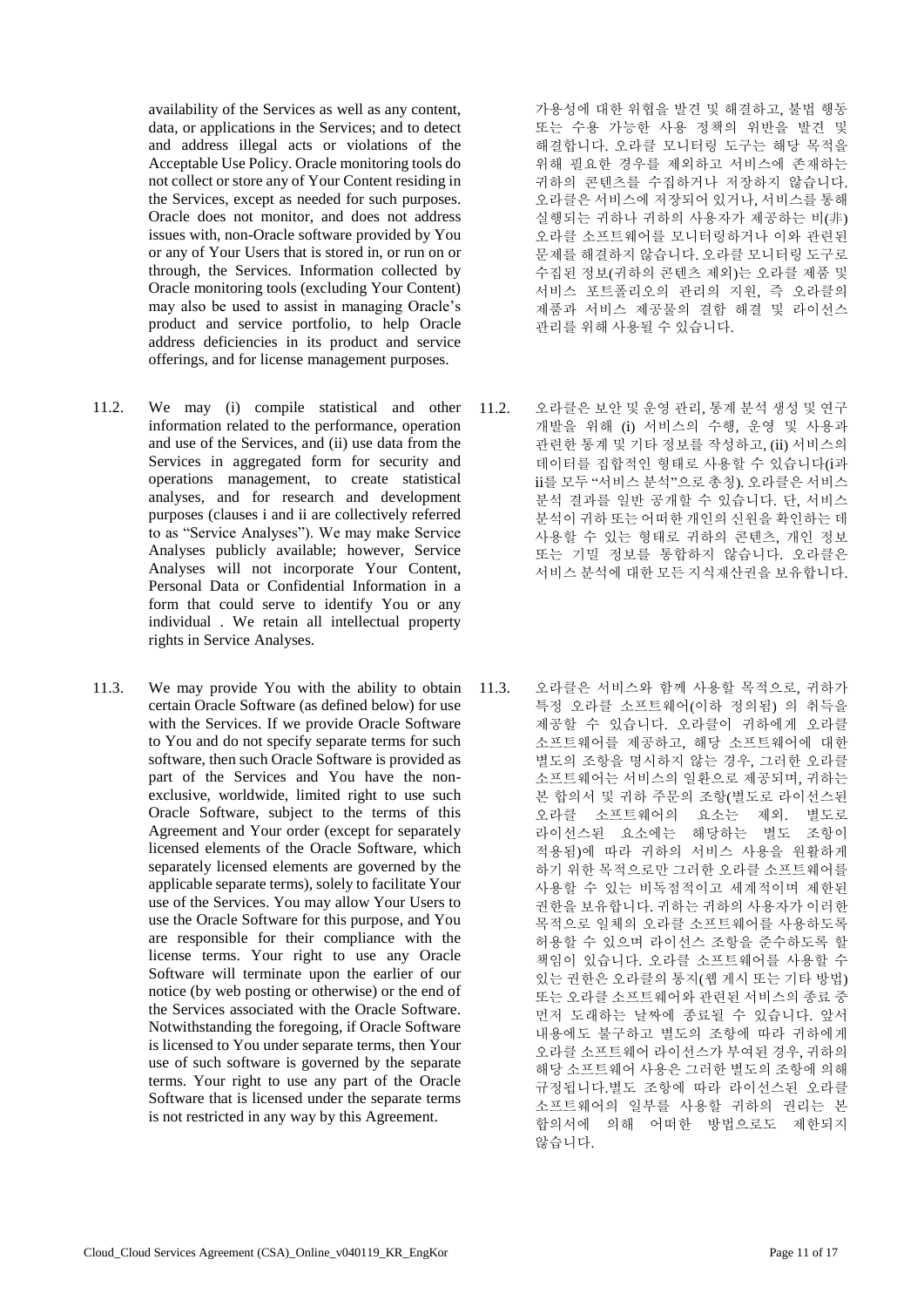availability of the Services as well as any content, data, or applications in the Services; and to detect and address illegal acts or violations of the Acceptable Use Policy. Oracle monitoring tools do not collect or store any of Your Content residing in the Services, except as needed for such purposes. Oracle does not monitor, and does not address issues with, non-Oracle software provided by You or any of Your Users that is stored in, or run on or through, the Services. Information collected by Oracle monitoring tools (excluding Your Content) may also be used to assist in managing Oracle's product and service portfolio, to help Oracle address deficiencies in its product and service offerings, and for license management purposes.

- 11.2. We may (i) compile statistical and other information related to the performance, operation and use of the Services, and (ii) use data from the Services in aggregated form for security and operations management, to create statistical analyses, and for research and development purposes (clauses i and ii are collectively referred to as "Service Analyses"). We may make Service Analyses publicly available; however, Service Analyses will not incorporate Your Content, Personal Data or Confidential Information in a form that could serve to identify You or any individual . We retain all intellectual property rights in Service Analyses.
- 11.3. We may provide You with the ability to obtain certain Oracle Software (as defined below) for use with the Services. If we provide Oracle Software to You and do not specify separate terms for such software, then such Oracle Software is provided as part of the Services and You have the nonexclusive, worldwide, limited right to use such Oracle Software, subject to the terms of this Agreement and Your order (except for separately licensed elements of the Oracle Software, which separately licensed elements are governed by the applicable separate terms), solely to facilitate Your use of the Services. You may allow Your Users to use the Oracle Software for this purpose, and You are responsible for their compliance with the license terms. Your right to use any Oracle Software will terminate upon the earlier of our notice (by web posting or otherwise) or the end of the Services associated with the Oracle Software. Notwithstanding the foregoing, if Oracle Software is licensed to You under separate terms, then Your use of such software is governed by the separate terms. Your right to use any part of the Oracle Software that is licensed under the separate terms is not restricted in any way by this Agreement.

가용성에 대한 위협을 발견 및 해결하고, 불법 행동 또는 수용 가능한 사용 정책의 위반을 발견 및 해결합니다. 오라클 모니터링 도구는 해당 목적을 위해 필요한 경우를 제외하고 서비스에 존재하는 귀하의 콘텐츠를 수집하거나 저장하지 않습니다. 오라클은 서비스에 저장되어 있거나, 서비스를 통해 실행되는 귀하나 귀하의 사용자가 제공하는 비(非) 오라클 소프트웨어를 모니터링하거나 이와 관련된 문제를 해결하지 않습니다. 오라클 모니터링 도구로 수집된 정보(귀하의 콘텐츠 제외)는 오라클 제품 및 서비스 포트폴리오의 관리의 지원, 즉 오라클의 제품과 서비스 제공물의 결함 해결 및 라이선스 관리를 위해 사용될 수 있습니다.

- 11.2. 오라클은 보안 및 운영 관리, 통계 분석 생성 및 연구 개발을 위해 (i) 서비스의 수행, 운영 및 사용과 관련한 통계 및 기타 정보를 작성하고, (ii) 서비스의 데이터를 집합적인 형태로 사용할 수 있습니다(i과 ii를 모두 "서비스 분석"으로 총칭). 오라클은 서비스 분석 결과를 일반 공개할 수 있습니다. 단, 서비스 분석이 귀하 또는 어떠한 개인의 신원을 확인하는 데 사용할 수 있는 형태로 귀하의 콘텐츠, 개인 정보 또는 기밀 정보를 통합하지 않습니다. 오라클은 서비스 분석에 대한 모든 지식재산권을 보유합니다.
- 11.3. 오라클은 서비스와 함께 사용할 목적으로, 귀하가 특정 오라클 소프트웨어(이하 정의됨) 의 취득을 제공할 수 있습니다. 오라클이 귀하에게 오라클 소프트웨어를 제공하고, 해당 소프트웨어에 대한 별도의 조항을 명시하지 않는 경우, 그러한 오라클 소프트웨어는 서비스의 일환으로 제공되며, 귀하는 본 합의서 및 귀하 주문의 조항(별도로 라이선스된 오라클 소프트웨어의 요소는 제외. 별도로 라이선스된 요소에는 해당하는 별도 조항이 적용됨)에 따라 귀하의 서비스 사용을 원활하게 하기 위한 목적으로만 그러한 오라클 소프트웨어를 사용할 수 있는 비독점적이고 세계적이며 제한된 권한을 보유합니다. 귀하는 귀하의 사용자가 이러한 목적으로 일체의 오라클 소프트웨어를 사용하도록 허용할 수 있으며 라이선스 조항을 준수하도록 할 책임이 있습니다. 오라클 소프트웨어를 사용할 수 있는 권한은 오라클의 통지(웹 게시 또는 기타 방법) 또는 오라클 소프트웨어와 관련된 서비스의 종료 중 먼저 도래하는 날짜에 종료될 수 있습니다. 앞서 내용에도 불구하고 별도의 조항에 따라 귀하에게 오라클 소프트웨어 라이선스가 부여된 경우, 귀하의 해당 소프트웨어 사용은 그러한 별도의 조항에 의해 규정됩니다.별도 조항에 따라 라이선스된 오라클 소프트웨어의 일부를 사용할 귀하의 권리는 본 합의서에 의해 어떠한 방법으로도 제한되지 않습니다.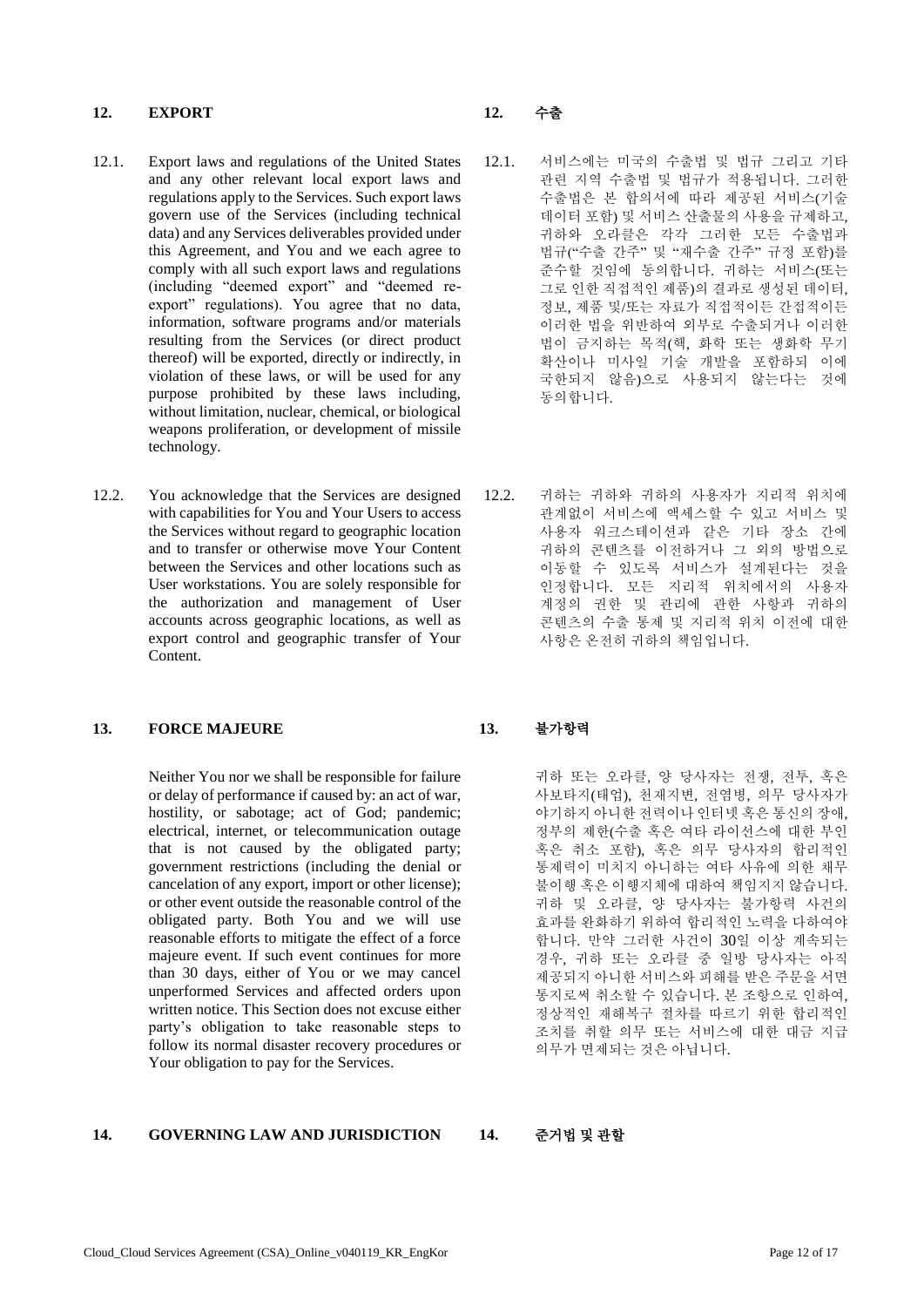### **12. EXPORT 12.** 수출

- 12.1. Export laws and regulations of the United States and any other relevant local export laws and regulations apply to the Services. Such export laws govern use of the Services (including technical data) and any Services deliverables provided under this Agreement, and You and we each agree to comply with all such export laws and regulations (including "deemed export" and "deemed reexport" regulations). You agree that no data, information, software programs and/or materials resulting from the Services (or direct product thereof) will be exported, directly or indirectly, in violation of these laws, or will be used for any purpose prohibited by these laws including, without limitation, nuclear, chemical, or biological weapons proliferation, or development of missile technology.
- 12.2. You acknowledge that the Services are designed with capabilities for You and Your Users to access the Services without regard to geographic location and to transfer or otherwise move Your Content between the Services and other locations such as User workstations. You are solely responsible for the authorization and management of User accounts across geographic locations, as well as export control and geographic transfer of Your Content.

### **13. FORCE MAJEURE 13.** 불가항력

Neither You nor we shall be responsible for failure or delay of performance if caused by: an act of war, hostility, or sabotage; act of God; pandemic; electrical, internet, or telecommunication outage that is not caused by the obligated party; government restrictions (including the denial or cancelation of any export, import or other license); or other event outside the reasonable control of the obligated party. Both You and we will use reasonable efforts to mitigate the effect of a force majeure event. If such event continues for more than 30 days, either of You or we may cancel unperformed Services and affected orders upon written notice. This Section does not excuse either party's obligation to take reasonable steps to follow its normal disaster recovery procedures or Your obligation to pay for the Services.

# **14. GOVERNING LAW AND JURISDICTION 14.** 준거법 및 관할

- 12.1. 서비스에는 미국의 수출법 및 법규 그리고 기타 관련 지역 수출법 및 법규가 적용됩니다. 그러한 수출법은 본 합의서에 따라 제공된 서비스(기술 데이터 포함) 및 서비스 산출물의 사용을 규제하고, 귀하와 오라클은 각각 그러한 모든 수출법과 법규("수출 간주" 및 "재수출 간주" 규정 포함)를 준수할 것임에 동의합니다. 귀하는 서비스(또는 그로 인한 직접적인 제품)의 결과로 생성된 데이터, 정보, 제품 및/또는 자료가 직접적이든 간접적이든 이러한 법을 위반하여 외부로 수출되거나 이러한 법이 금지하는 목적(핵, 화학 또는 생화학 무기 확산이나 미사일 기술 개발을 포함하되 이에 국한되지 않음)으로 사용되지 않는다는 것에 동의합니다.
- 12.2. 귀하는 귀하와 귀하의 사용자가 지리적 위치에 관계없이 서비스에 액세스할 수 있고 서비스 및 사용자 워크스테이션과 같은 기타 장소 간에 귀하의 콘텐츠를 이전하거나 그 외의 방법으로 이동할 수 있도록 서비스가 설계된다는 것을 인정합니다. 모든 지리적 위치에서의 사용자 계정의 권한 및 관리에 관한 사항과 귀하의 콘텐츠의 수출 통제 및 지리적 위치 이전에 대한 사항은 온전히 귀하의 책임입니다.

귀하 또는 오라클, 양 당사자는 전쟁, 전투, 혹은 사보타지(태업), 천재지변, 전염병, 의무 당사자가 야기하지 아니한 전력이나 인터넷 혹은 통신의 장애, 정부의 제한(수출 혹은 여타 라이선스에 대한 부인 혹은 취소 포함), 혹은 의무 당사자의 합리적인 통제력이 미치지 아니하는 여타 사유에 의한 채무 불이행 혹은 이행지체에 대하여 책임지지 않습니다. 귀하 및 오라클, 양 당사자는 불가항력 사건의 효과를 완화하기 위하여 합리적인 노력을 다하여야 합니다. 만약 그러한 사건이 30일 이상 계속되는 경우, 귀하 또는 오라클 중 일방 당사자는 아직 제공되지 아니한 서비스와 피해를 받은 주문을 서면 통지로써 취소할 수 있습니다. 본 조항으로 인하여, 정상적인 재해복구 절차를 따르기 위한 합리적인 조치를 취할 의무 또는 서비스에 대한 대금 지급 의무가 면제되는 것은 아닙니다.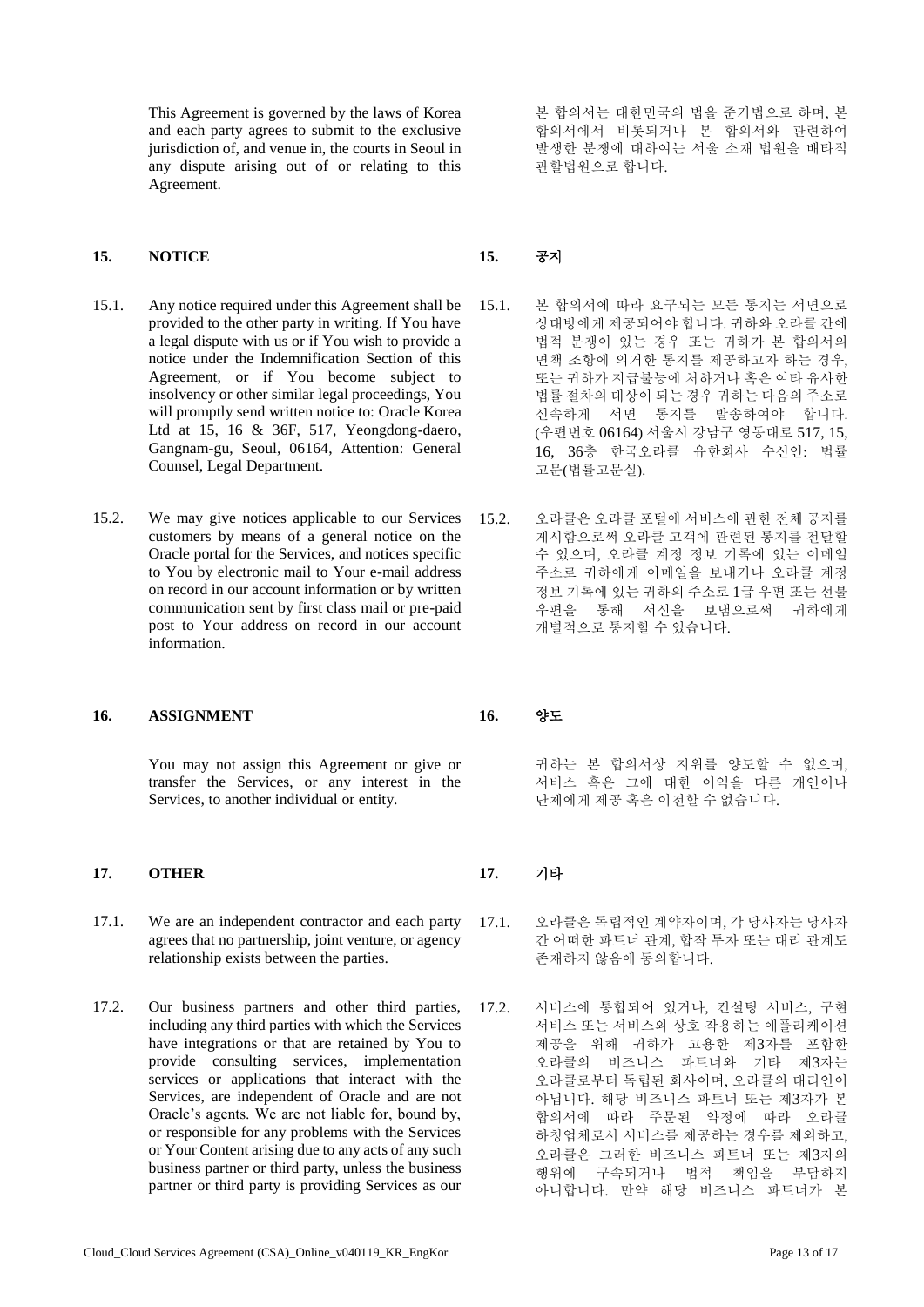This Agreement is governed by the laws of Korea and each party agrees to submit to the exclusive jurisdiction of, and venue in, the courts in Seoul in any dispute arising out of or relating to this Agreement.

### **15. NOTICE 15.** 공지

- 15.1. Any notice required under this Agreement shall be provided to the other party in writing. If You have a legal dispute with us or if You wish to provide a notice under the Indemnification Section of this Agreement, or if You become subject to insolvency or other similar legal proceedings, You will promptly send written notice to: Oracle Korea Ltd at 15, 16 & 36F, 517, Yeongdong-daero, Gangnam-gu, Seoul, 06164, Attention: General Counsel, Legal Department.
- 15.2. We may give notices applicable to our Services customers by means of a general notice on the Oracle portal for the Services, and notices specific to You by electronic mail to Your e-mail address on record in our account information or by written communication sent by first class mail or pre-paid post to Your address on record in our account information.

### **16. ASSIGNMENT 16.** 양도

You may not assign this Agreement or give or transfer the Services, or any interest in the Services, to another individual or entity.

# **17. OTHER 17.** 기타

- 17.1. We are an independent contractor and each party agrees that no partnership, joint venture, or agency relationship exists between the parties.
- 17.2. Our business partners and other third parties, including any third parties with which the Services have integrations or that are retained by You to provide consulting services, implementation services or applications that interact with the Services, are independent of Oracle and are not Oracle's agents. We are not liable for, bound by, or responsible for any problems with the Services or Your Content arising due to any acts of any such business partner or third party, unless the business partner or third party is providing Services as our

본 합의서는 대한민국의 법을 준거법으로 하며, 본 합의서에서 비롯되거나 본 합의서와 관련하여 발생한 분쟁에 대하여는 서울 소재 법원을 배타적 관할법원으로 합니다.

- 15.1. 본 합의서에 따라 요구되는 모든 통지는 서면으로 상대방에게 제공되어야 합니다. 귀하와 오라클 간에 법적 분쟁이 있는 경우 또는 귀하가 본 합의서의 면책 조항에 의거한 통지를 제공하고자 하는 경우, 또는 귀하가 지급불능에 처하거나 혹은 여타 유사한 법률 절차의 대상이 되는 경우 귀하는 다음의 주소로 신속하게 서면 통지를 발송하여야 합니다. (우편번호 06164) 서울시 강남구 영동대로 517, 15, 16, 36층 한국오라클 유한회사 수신인: 법률 고문(법률고문실).
- 15.2. 오라클은 오라클 포털에 서비스에 관한 전체 공지를 게시함으로써 오라클 고객에 관련된 통지를 전달할 수 있으며, 오라클 계정 정보 기록에 있는 이메일 주소로 귀하에게 이메일을 보내거나 오라클 계정 정보 기록에 있는 귀하의 주소로 1급 우편 또는 선불 우편을 통해 서신을 보냄으로써 귀하에게 개별적으로 통지할 수 있습니다.

귀하는 본 합의서상 지위를 양도할 수 없으며, 서비스 혹은 그에 대한 이익을 다른 개인이나 단체에게 제공 혹은 이전할 수 없습니다.

- 17.1. 오라클은 독립적인 계약자이며, 각 당사자는 당사자 간 어떠한 파트너 관계, 합작 투자 또는 대리 관계도 존재하지 않음에 동의합니다.
- 17.2. 서비스에 통합되어 있거나, 컨설팅 서비스, 구현 서비스 또는 서비스와 상호 작용하는 애플리케이션 제공을 위해 귀하가 고용한 제3자를 포함한 오라클의 비즈니스 파트너와 기타 제3자는 오라클로부터 독립된 회사이며, 오라클의 대리인이 아닙니다. 해당 비즈니스 파트너 또는 제3자가 본 합의서에 따라 주문된 약정에 따라 오라클 하청업체로서 서비스를 제공하는 경우를 제외하고, 오라클은 그러한 비즈니스 파트너 또는 제3자의 행위에 구속되거나 법적 책임을 부담하지 아니합니다. 만약 해당 비즈니스 파트너가 본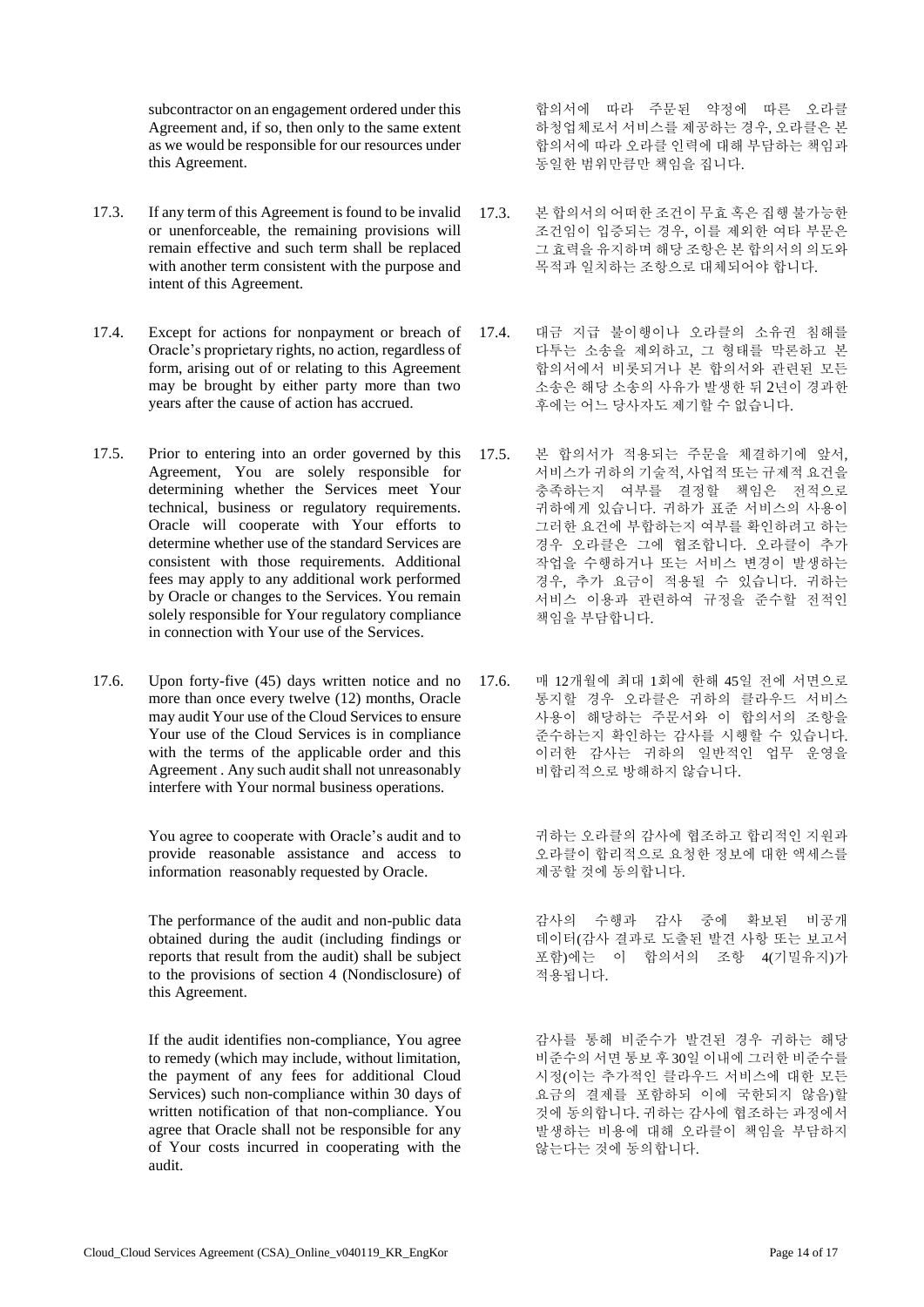subcontractor on an engagement ordered under this Agreement and, if so, then only to the same extent as we would be responsible for our resources under this Agreement.

- 17.3. If any term of this Agreement is found to be invalid or unenforceable, the remaining provisions will remain effective and such term shall be replaced with another term consistent with the purpose and intent of this Agreement.
- 17.4. Except for actions for nonpayment or breach of Oracle's proprietary rights, no action, regardless of form, arising out of or relating to this Agreement may be brought by either party more than two years after the cause of action has accrued.
- 17.5. Prior to entering into an order governed by this Agreement, You are solely responsible for determining whether the Services meet Your technical, business or regulatory requirements. Oracle will cooperate with Your efforts to determine whether use of the standard Services are consistent with those requirements. Additional fees may apply to any additional work performed by Oracle or changes to the Services. You remain solely responsible for Your regulatory compliance in connection with Your use of the Services.
- 17.6. Upon forty-five (45) days written notice and no more than once every twelve (12) months, Oracle may audit Your use of the Cloud Services to ensure Your use of the Cloud Services is in compliance with the terms of the applicable order and this Agreement . Any such audit shall not unreasonably interfere with Your normal business operations.

You agree to cooperate with Oracle's audit and to provide reasonable assistance and access to information reasonably requested by Oracle.

The performance of the audit and non-public data obtained during the audit (including findings or reports that result from the audit) shall be subject to the provisions of section 4 (Nondisclosure) of this Agreement.

If the audit identifies non-compliance, You agree to remedy (which may include, without limitation, the payment of any fees for additional Cloud Services) such non-compliance within 30 days of written notification of that non-compliance. You agree that Oracle shall not be responsible for any of Your costs incurred in cooperating with the audit.

합의서에 따라 주문된 약정에 따른 오라클 하청업체로서 서비스를 제공하는 경우, 오라클은 본 합의서에 따라 오라클 인력에 대해 부담하는 책임과 동일한 범위만큼만 책임을 집니다.

- 17.3. 본 합의서의 어떠한 조건이 무효 혹은 집행 불가능한 조건임이 입증되는 경우, 이를 제외한 여타 부문은 그 효력을 유지하며 해당 조항은 본 합의서의 의도와 목적과 일치하는 조항으로 대체되어야 합니다.
- 17.4. 대금 지급 불이행이나 오라클의 소유권 침해를 다투는 소송을 제외하고, 그 형태를 막론하고 본 합의서에서 비롯되거나 본 합의서와 관련된 모든 소송은 해당 소송의 사유가 발생한 뒤 2년이 경과한 후에는 어느 당사자도 제기할 수 없습니다.
- 17.5. 본 합의서가 적용되는 주문을 체결하기에 앞서, 서비스가 귀하의 기술적, 사업적 또는 규제적 요건을 충족하는지 여부를 결정할 책임은 전적으로 귀하에게 있습니다. 귀하가 표준 서비스의 사용이 그러한 요건에 부합하는지 여부를 확인하려고 하는 경우 오라클은 그에 협조합니다. 오라클이 추가 작업을 수행하거나 또는 서비스 변경이 발생하는 경우, 추가 요금이 적용될 수 있습니다. 귀하는 서비스 이용과 관련하여 규정을 준수할 전적인 책임을 부담합니다.
- 17.6. 매 12개월에 최대 1회에 한해 45일 전에 서면으로 통지할 경우 오라클은 귀하의 클라우드 서비스 사용이 해당하는 주문서와 이 합의서의 조항을 준수하는지 확인하는 감사를 시행할 수 있습니다. 이러한 감사는 귀하의 일반적인 업무 운영을 비합리적으로 방해하지 않습니다.

귀하는 오라클의 감사에 협조하고 합리적인 지원과 오라클이 합리적으로 요청한 정보에 대한 액세스를 제공할 것에 동의합니다.

감사의 수행과 감사 중에 확보된 비공개 데이터(감사 결과로 도출된 발견 사항 또는 보고서 포함)에는 이 합의서의 조항 4(기밀유지)가 적용됩니다.

감사를 통해 비준수가 발견된 경우 귀하는 해당 비준수의 서면 통보 후 30일 이내에 그러한 비준수를 시정(이는 추가적인 클라우드 서비스에 대한 모든 요금의 결제를 포함하되 이에 국한되지 않음)할 것에 동의합니다. 귀하는 감사에 협조하는 과정에서 발생하는 비용에 대해 오라클이 책임을 부담하지 않는다는 것에 동의합니다.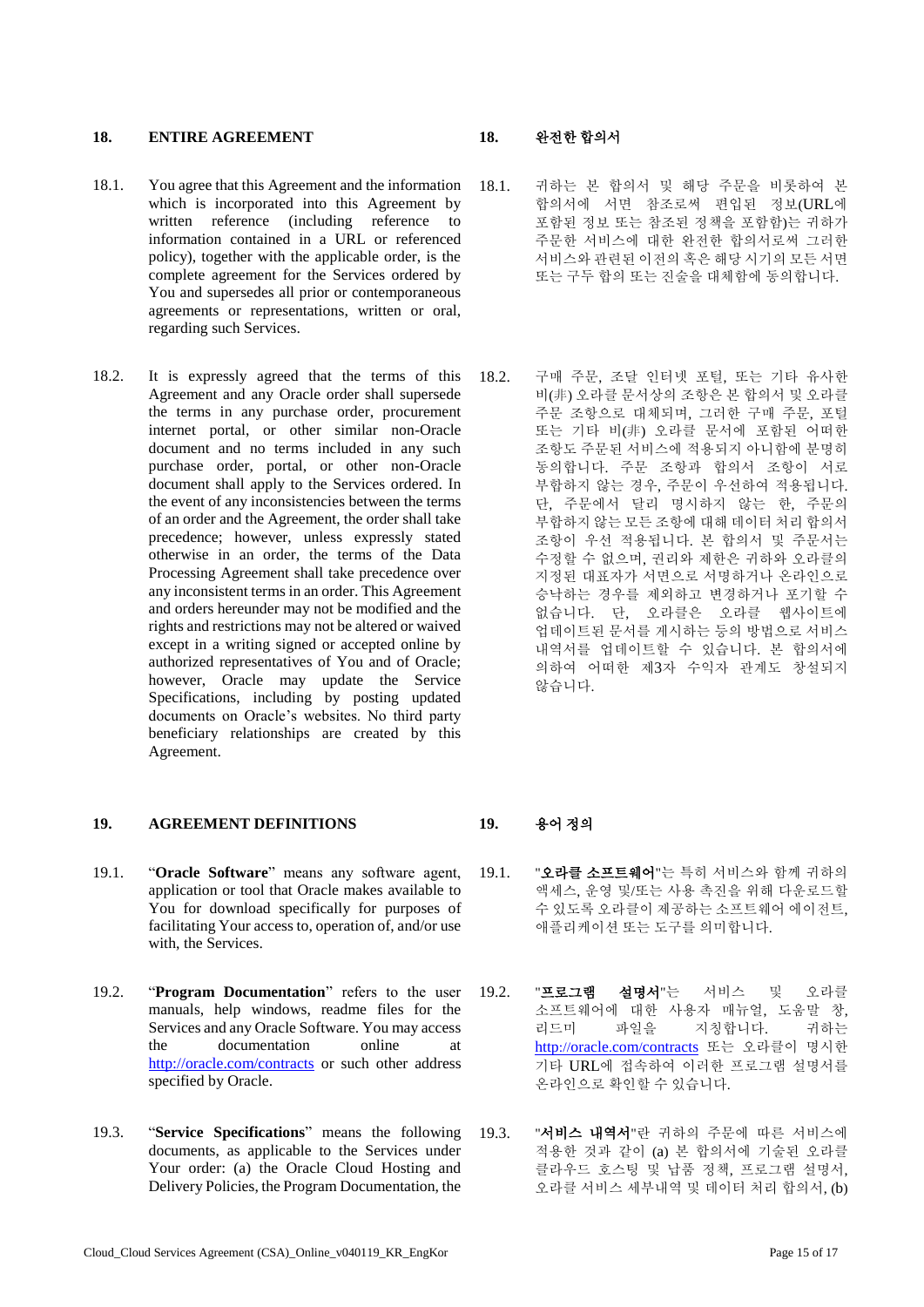### **18. ENTIRE AGREEMENT 18.** 완전한 합의서

- 18.1. You agree that this Agreement and the information which is incorporated into this Agreement by written reference (including reference to information contained in a URL or referenced policy), together with the applicable order, is the complete agreement for the Services ordered by You and supersedes all prior or contemporaneous agreements or representations, written or oral, regarding such Services.
- 18.2. It is expressly agreed that the terms of this Agreement and any Oracle order shall supersede the terms in any purchase order, procurement internet portal, or other similar non-Oracle document and no terms included in any such purchase order, portal, or other non-Oracle document shall apply to the Services ordered. In the event of any inconsistencies between the terms of an order and the Agreement, the order shall take precedence; however, unless expressly stated otherwise in an order, the terms of the Data Processing Agreement shall take precedence over any inconsistent terms in an order. This Agreement and orders hereunder may not be modified and the rights and restrictions may not be altered or waived except in a writing signed or accepted online by authorized representatives of You and of Oracle; however, Oracle may update the Service Specifications, including by posting updated documents on Oracle's websites. No third party beneficiary relationships are created by this Agreement.

### **19. AGREEMENT DEFINITIONS 19.** 용어 정의

- 19.1. "**Oracle Software**" means any software agent, application or tool that Oracle makes available to You for download specifically for purposes of facilitating Your access to, operation of, and/or use with, the Services.
- 19.2. "**Program Documentation**" refers to the user manuals, help windows, readme files for the Services and any Oracle Software. You may access the documentation online at <http://oracle.com/contracts> or such other address specified by Oracle.
- 19.3. "**Service Specifications**" means the following documents, as applicable to the Services under Your order: (a) the Oracle Cloud Hosting and Delivery Policies, the Program Documentation, the

- 18.1. 귀하는 본 합의서 및 해당 주문을 비롯하여 본 합의서에 서면 참조로써 편입된 정보(URL에 포함된 정보 또는 참조된 정책을 포함함)는 귀하가 주문한 서비스에 대한 완전한 합의서로써 그러한 서비스와 관련된 이전의 혹은 해당 시기의 모든 서면 또는 구두 합의 또는 진술을 대체함에 동의합니다.
- 18.2. 구매 주문, 조달 인터넷 포털, 또는 기타 유사한 비(非) 오라클 문서상의 조항은 본 합의서 및 오라클 주문 조항으로 대체되며, 그러한 구매 주문, 포털 또는 기타 비(非) 오라클 문서에 포함된 어떠한 조항도 주문된 서비스에 적용되지 아니함에 분명히 동의합니다. 주문 조항과 합의서 조항이 서로 부합하지 않는 경우, 주문이 우선하여 적용됩니다. 단, 주문에서 달리 명시하지 않는 한, 주문의 부합하지 않는 모든 조항에 대해 데이터 처리 합의서 조항이 우선 적용됩니다. 본 합의서 및 주문서는 수정할 수 없으며, 권리와 제한은 귀하와 오라클의 지정된 대표자가 서면으로 서명하거나 온라인으로 승낙하는 경우를 제외하고 변경하거나 포기할 수 없습니다. 단, 오라클은 오라클 웹사이트에 업데이트된 문서를 게시하는 등의 방법으로 서비스 내역서를 업데이트할 수 있습니다. 본 합의서에 의하여 어떠한 제3자 수익자 관계도 창설되지 않습니다.

- 19.1. "오라클 소프트웨어"는 특히 서비스와 함께 귀하의 액세스, 운영 및/또는 사용 촉진을 위해 다운로드할 수 있도록 오라클이 제공하는 소프트웨어 에이전트, 애플리케이션 또는 도구를 의미합니다.
- 19.2. "프로그램 설명서"는 서비스 및 오라클 소프트웨어에 대한 사용자 매뉴얼, 도움말 창, 리드미 파일을 지칭합니다. 귀하는 http://oracle.com/[contracts](http://oracle.com/contracts) 또는 오라클이 명시한 기타 URL에 접속하여 이러한 프로그램 설명서를 온라인으로 확인할 수 있습니다.
- 19.3. "서비스 내역서"란 귀하의 주문에 따른 서비스에 적용한 것과 같이 (a) 본 합의서에 기술된 오라클 클라우드 호스팅 및 납품 정책, 프로그램 설명서, 오라클 서비스 세부내역 및 데이터 처리 합의서, (b)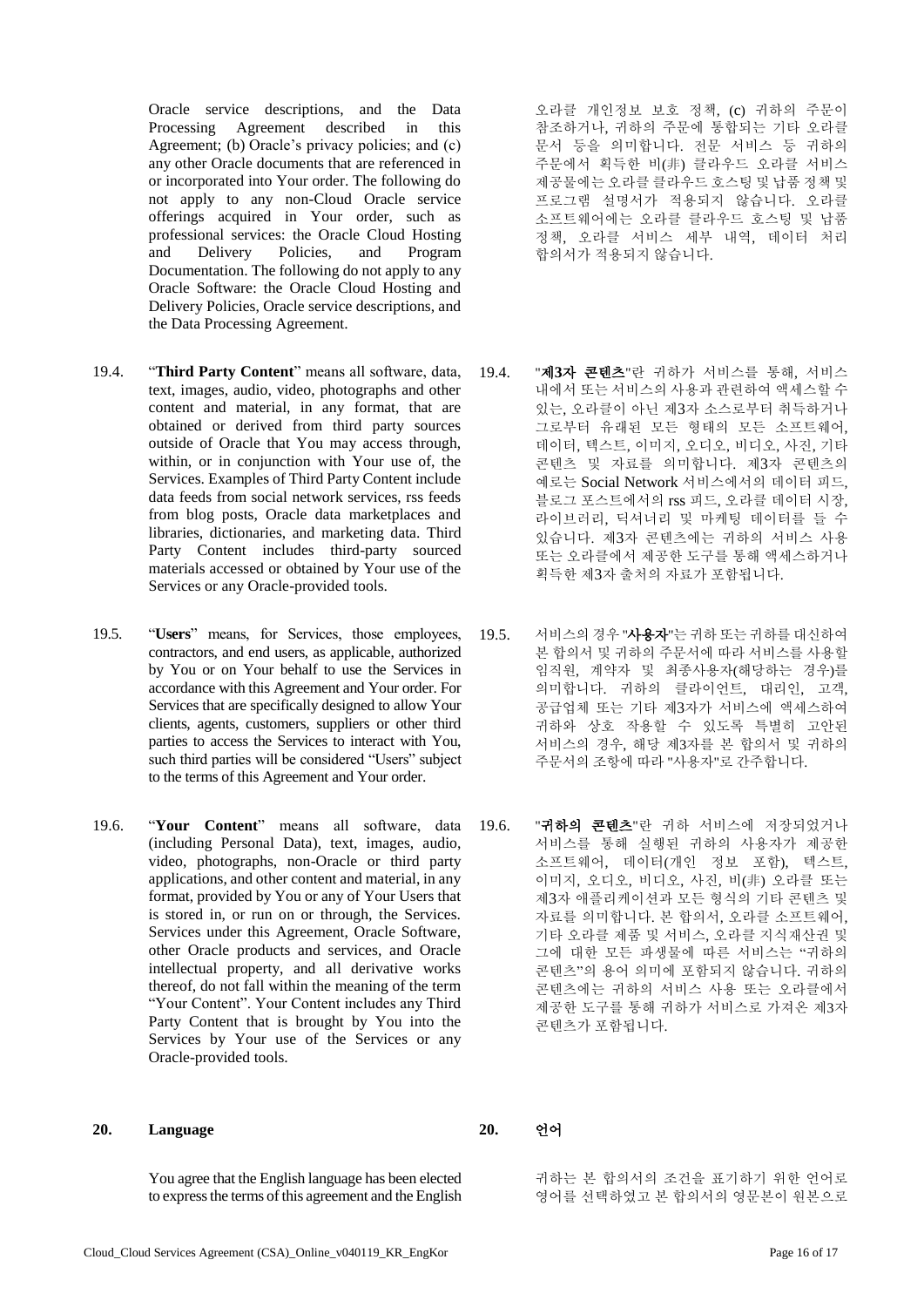Oracle service descriptions, and the Data Processing Agreement described in this Agreement; (b) Oracle's privacy policies; and (c) any other Oracle documents that are referenced in or incorporated into Your order. The following do not apply to any non-Cloud Oracle service offerings acquired in Your order, such as professional services: the Oracle Cloud Hosting and Delivery Policies, and Program Documentation. The following do not apply to any Oracle Software: the Oracle Cloud Hosting and Delivery Policies, Oracle service descriptions, and the Data Processing Agreement.

- 19.4. "**Third Party Content**" means all software, data, text, images, audio, video, photographs and other content and material, in any format, that are obtained or derived from third party sources outside of Oracle that You may access through, within, or in conjunction with Your use of, the Services. Examples of Third Party Content include data feeds from social network services, rss feeds from blog posts, Oracle data marketplaces and libraries, dictionaries, and marketing data. Third Party Content includes third-party sourced materials accessed or obtained by Your use of the Services or any Oracle-provided tools.
- 19.5. "**Users**" means, for Services, those employees, contractors, and end users, as applicable, authorized by You or on Your behalf to use the Services in accordance with this Agreement and Your order. For Services that are specifically designed to allow Your clients, agents, customers, suppliers or other third parties to access the Services to interact with You, such third parties will be considered "Users" subject to the terms of this Agreement and Your order.
- 19.6. "**Your Content**" means all software, data (including Personal Data), text, images, audio, video, photographs, non-Oracle or third party applications, and other content and material, in any format, provided by You or any of Your Users that is stored in, or run on or through, the Services. Services under this Agreement, Oracle Software, other Oracle products and services, and Oracle intellectual property, and all derivative works thereof, do not fall within the meaning of the term "Your Content". Your Content includes any Third Party Content that is brought by You into the Services by Your use of the Services or any Oracle-provided tools.

### **20. Language 20.** 언어

You agree that the English language has been elected to express the terms of this agreement and the English 오라클 개인정보 보호 정책, (c) 귀하의 주문이 참조하거나, 귀하의 주문에 통합되는 기타 오라클 문서 등을 의미합니다. 전문 서비스 등 귀하의 주문에서 획득한 비(非) 클라우드 오라클 서비스 제공물에는 오라클 클라우드 호스팅 및 납품 정책 및 프로그램 설명서가 적용되지 않습니다. 오라클 소프트웨어에는 오라클 클라우드 호스팅 및 납품 정책, 오라클 서비스 세부 내역, 데이터 처리 합의서가 적용되지 않습니다.

- 19.4. "제**3**자 콘텐츠"란 귀하가 서비스를 통해, 서비스 내에서 또는 서비스의 사용과 관련하여 액세스할 수 있는, 오라클이 아닌 제3자 소스로부터 취득하거나 그로부터 유래된 모든 형태의 모든 소프트웨어, 데이터, 텍스트, 이미지, 오디오, 비디오, 사진, 기타 콘텐츠 및 자료를 의미합니다. 제3자 콘텐츠의 예로는 Social Network 서비스에서의 데이터 피드, 블로그 포스트에서의 rss 피드, 오라클 데이터 시장, 라이브러리, 딕셔너리 및 마케팅 데이터를 들 수 있습니다. 제3자 콘텐츠에는 귀하의 서비스 사용 또는 오라클에서 제공한 도구를 통해 액세스하거나 획득한 제3자 출처의 자료가 포함됩니다.
- 19.5. 서비스의 경우 "사용자"는 귀하 또는 귀하를 대신하여 본 합의서 및 귀하의 주문서에 따라 서비스를 사용할 임직원, 계약자 및 최종사용자(해당하는 경우)를 의미합니다. 귀하의 클라이언트, 대리인, 고객, 공급업체 또는 기타 제3자가 서비스에 액세스하여 귀하와 상호 작용할 수 있도록 특별히 고안된 서비스의 경우, 해당 제3자를 본 합의서 및 귀하의 주문서의 조항에 따라 "사용자"로 간주합니다.
- 19.6. "귀하의 콘텐츠"란 귀하 서비스에 저장되었거나 서비스를 통해 실행된 귀하의 사용자가 제공한 소프트웨어, 데이터(개인 정보 포함), 텍스트, 이미지, 오디오, 비디오, 사진, 비(非) 오라클 또는 제3자 애플리케이션과 모든 형식의 기타 콘텐츠 및 자료를 의미합니다. 본 합의서, 오라클 소프트웨어, 기타 오라클 제품 및 서비스, 오라클 지식재산권 및 그에 대한 모든 파생물에 따른 서비스는 "귀하의 콘텐츠"의 용어 의미에 포함되지 않습니다. 귀하의 콘텐츠에는 귀하의 서비스 사용 또는 오라클에서 제공한 도구를 통해 귀하가 서비스로 가져온 제3자 콘텐츠가 포함됩니다.

귀하는 본 합의서의 조건을 표기하기 위한 언어로 영어를 선택하였고 본 합의서의 영문본이 원본으로